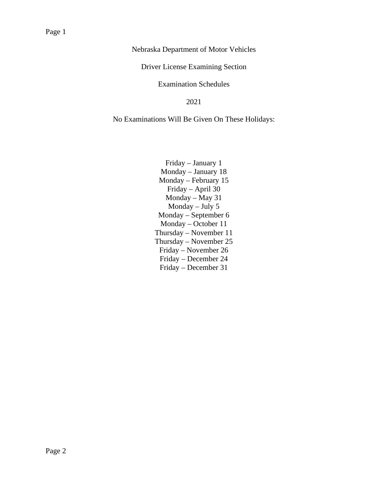Nebraska Department of Motor Vehicles

Driver License Examining Section

#### Examination Schedules

#### 2021

No Examinations Will Be Given On These Holidays:

Friday – January 1 Monday – January 18 Monday – February 15 Friday – April 30 Monday – May 31 Monday – July 5 Monday – September 6 Monday – October 11 Thursday – November 11 Thursday – November 25 Friday – November 26 Friday – December 24 Friday – December 31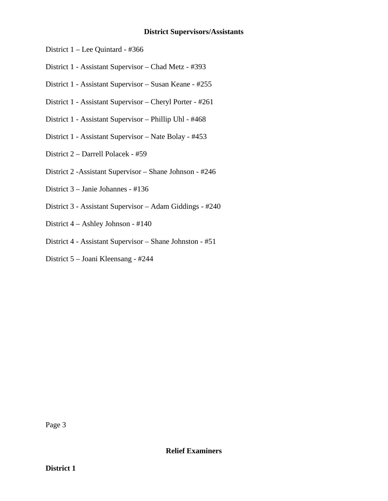#### **District Supervisors/Assistants**

- District 1 Lee Quintard #366
- District 1 Assistant Supervisor Chad Metz #393
- District 1 Assistant Supervisor Susan Keane #255
- District 1 Assistant Supervisor Cheryl Porter #261
- District 1 Assistant Supervisor Phillip Uhl #468
- District 1 Assistant Supervisor Nate Bolay #453
- District 2 Darrell Polacek #59
- District 2 -Assistant Supervisor Shane Johnson #246
- District 3 Janie Johannes #136
- District 3 Assistant Supervisor Adam Giddings #240
- District 4 Ashley Johnson #140
- District 4 Assistant Supervisor Shane Johnston #51
- District 5 Joani Kleensang #244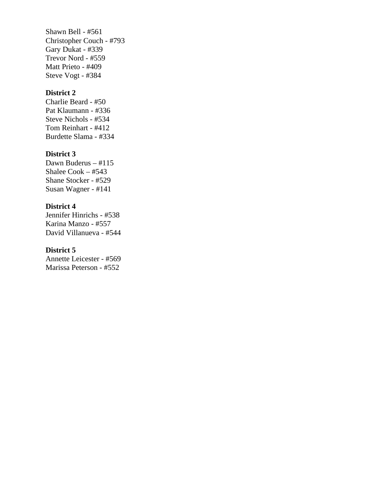Shawn Bell - #561 Christopher Couch - #793 Gary Dukat - #339 Trevor Nord - #559 Matt Prieto - #409 Steve Vogt - #384

# **District 2**

Charlie Beard - #50 Pat Klaumann - #336 Steve Nichols - #534 Tom Reinhart - #412 Burdette Slama - #334

# **District 3**

Dawn Buderus – #115 Shalee Cook – #543 Shane Stocker - #529 Susan Wagner - #141

#### **District 4**

Jennifer Hinrichs - #538 Karina Manzo - #557 David Villanueva - #544

#### **District 5**

Annette Leicester - #569 Marissa Peterson - #552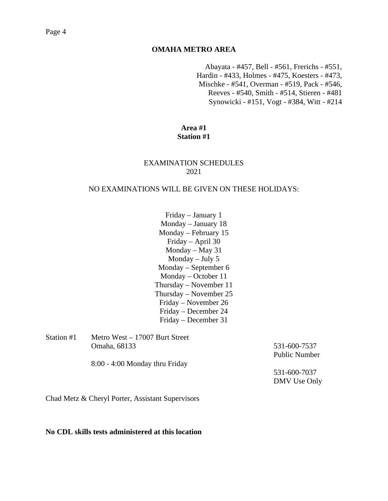# **OMAHA METRO AREA**

Abayata - #457, Bell - #561, Frerichs - #551, Hardin - #433, Holmes - #475, Koesters - #473, Mischke - #541, Overman - #519, Pack - #546, Reeves - #540, Smith - #514, Stieren - #481 Synowicki - #151, Vogt - #384, Witt - #214

### **Area #1 Station #1**

### EXAMINATION SCHEDULES 2021

#### NO EXAMINATIONS WILL BE GIVEN ON THESE HOLIDAYS:

Friday – January 1 Monday – January 18 Monday – February 15 Friday – April 30 Monday – May 31 Monday – July 5 Monday – September 6 Monday – October 11 Thursday – November 11 Thursday – November 25 Friday – November 26 Friday – December 24 Friday – December 31

| Station #1 | Metro West $-17007$ Burt Street  |                      |
|------------|----------------------------------|----------------------|
|            | Omaha, 68133                     | 531-600-7537         |
|            |                                  | <b>Public Number</b> |
|            | $8:00 - 4:00$ Monday thru Friday |                      |
|            |                                  | 531-600-7037         |
|            |                                  | DMV Use Only         |

Chad Metz & Cheryl Porter, Assistant Supervisors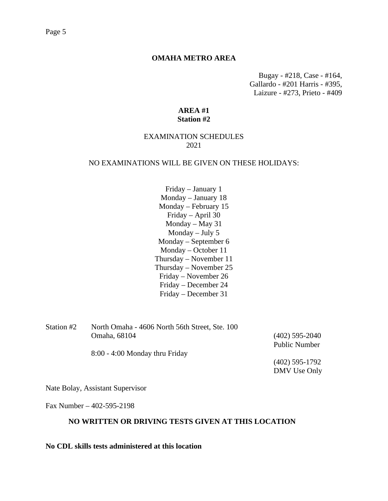#### Page 5

#### **OMAHA METRO AREA**

Bugay - #218, Case - #164, Gallardo - #201 Harris - #395, Laizure - #273, Prieto - #409

# **AREA #1 Station #2**

# EXAMINATION SCHEDULES 2021

#### NO EXAMINATIONS WILL BE GIVEN ON THESE HOLIDAYS:

Friday – January 1 Monday – January 18 Monday – February 15 Friday – April 30 Monday – May 31 Monday – July 5 Monday – September 6 Monday – October 11 Thursday – November 11 Thursday – November 25 Friday – November 26 Friday – December 24 Friday – December 31

| Station #2 | North Omaha - 4606 North 56th Street, Ste. 100 |                      |
|------------|------------------------------------------------|----------------------|
|            | Omaha, 68104                                   | $(402)$ 595-2040     |
|            |                                                | <b>Public Number</b> |
|            | $8:00 - 4:00$ Monday thru Friday               |                      |
|            |                                                | $(402)$ 595-1792     |
|            |                                                | DMV Use Only         |

Nate Bolay, Assistant Supervisor

Fax Number – 402-595-2198

#### **NO WRITTEN OR DRIVING TESTS GIVEN AT THIS LOCATION**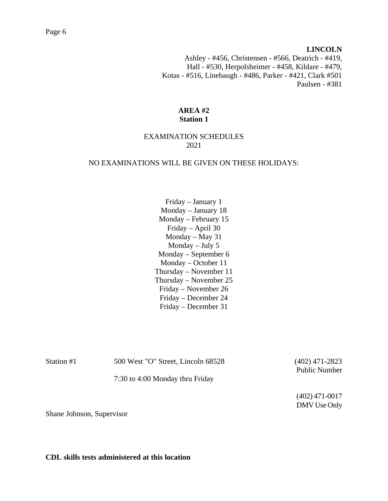#### **LINCOLN**

Ashley - #456, Christensen - #566, Deatrich - #419, Hall - #530, Herpolsheimer - #458, Kildare - #479, Kotas - #516, Linebaugh - #486, Parker - #421, Clark #501 Paulsen - #381

# **AREA #2 Station 1**

# EXAMINATION SCHEDULES 2021

#### NO EXAMINATIONS WILL BE GIVEN ON THESE HOLIDAYS:

Friday – January 1 Monday – January 18 Monday – February 15 Friday – April 30 Monday – May 31 Monday – July 5 Monday – September 6 Monday – October 11 Thursday – November 11 Thursday – November 25 Friday – November 26 Friday – December 24 Friday – December 31

| Station #1 | 500 West "O" Street, Lincoln 68528 | $(402)$ 471-2823     |
|------------|------------------------------------|----------------------|
|            |                                    | <b>Public Number</b> |
|            | 7:30 to 4:00 Monday thru Friday    |                      |
|            |                                    | $(102)$ 171 $0017$   |

(402) 471-0017 DMV Use Only

Shane Johnson, Supervisor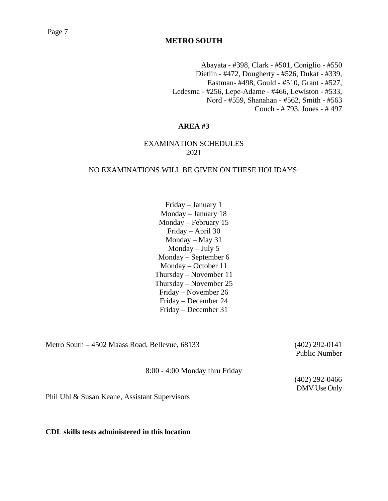# Page 7

# **METRO SOUTH**

Abayata - #398, Clark - #501, Coniglio - #550 Dietlin - #472, Dougherty - #526, Dukat - #339, Eastman- #498, Gould - #510, Grant - #527, Ledesma - #256, Lepe-Adame - #466, Lewiston - #533, Nord - #559, Shanahan - #562, Smith - #563 Couch - # 793, Jones - # 497

# **AREA #3**

### EXAMINATION SCHEDULES 2021

#### NO EXAMINATIONS WILL BE GIVEN ON THESE HOLIDAYS:

Friday – January 1 Monday – January 18 Monday – February 15 Friday – April 30 Monday – May 31 Monday – July 5 Monday – September 6 Monday – October 11 Thursday – November 11 Thursday – November 25 Friday – November 26 Friday – December 24 Friday – December 31

Metro South – 4502 Maass Road, Bellevue, 68133 (402) 292-0141

Public Number

8:00 - 4:00 Monday thru Friday

(402) 292-0466 DMV Use Only

Phil Uhl & Susan Keane, Assistant Supervisors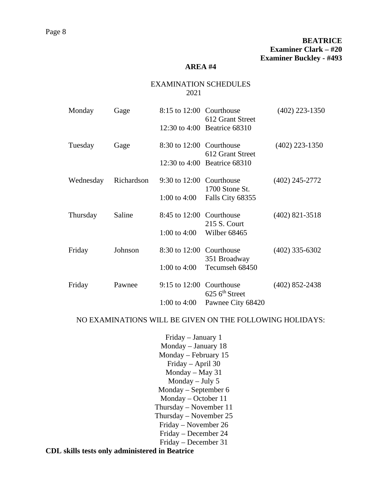#### EXAMINATION SCHEDULES 2021

| Monday    | Gage       | 8:15 to 12:00 Courthouse | 612 Grant Street<br>12:30 to 4:00 Beatrice 68310 | $(402)$ 223-1350 |
|-----------|------------|--------------------------|--------------------------------------------------|------------------|
| Tuesday   | Gage       | 8:30 to 12:00 Courthouse | 612 Grant Street                                 | $(402)$ 223-1350 |
| Wednesday | Richardson | 9:30 to 12:00 Courthouse | 12:30 to 4:00 Beatrice 68310                     | $(402)$ 245-2772 |
|           |            | 1:00 to 4:00             | 1700 Stone St.<br>Falls City 68355               |                  |
| Thursday  | Saline     | 8:45 to 12:00 Courthouse | 215 S. Court                                     | $(402)$ 821-3518 |
|           |            | 1:00 to 4:00             | Wilber 68465                                     |                  |
| Friday    | Johnson    | 8:30 to 12:00 Courthouse | 351 Broadway                                     | $(402)$ 335-6302 |
|           |            | 1:00 to $4:00$           | Tecumseh 68450                                   |                  |
| Friday    | Pawnee     | $9:15$ to $12:00$        | Courthouse<br>$625$ 6 <sup>th</sup> Street       | $(402)$ 852-2438 |
|           |            | 1:00 to $4:00$           | Pawnee City 68420                                |                  |

# NO EXAMINATIONS WILL BE GIVEN ON THE FOLLOWING HOLIDAYS:

Friday – January 1 Monday – January 18 Monday – February 15 Friday – April 30 Monday – May 31 Monday – July 5 Monday – September 6 Monday – October 11 Thursday – November 11 Thursday – November 25 Friday – November 26 Friday – December 24 Friday – December 31

**CDL skills tests only administered in Beatrice**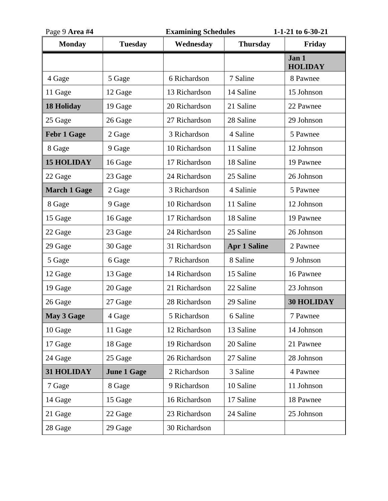| Page 9 Area #4      |                    | <b>Examining Schedules</b> |                     | 1-1-21 to 6-30-21       |  |
|---------------------|--------------------|----------------------------|---------------------|-------------------------|--|
| <b>Monday</b>       | <b>Tuesday</b>     | Wednesday                  | <b>Thursday</b>     | Friday                  |  |
|                     |                    |                            |                     | Jan 1<br><b>HOLIDAY</b> |  |
| 4 Gage              | 5 Gage             | 6 Richardson               | 7 Saline            | 8 Pawnee                |  |
| 11 Gage             | 12 Gage            | 13 Richardson              | 14 Saline           | 15 Johnson              |  |
| <b>18 Holiday</b>   | 19 Gage            | 20 Richardson              | 21 Saline           | 22 Pawnee               |  |
| 25 Gage             | 26 Gage            | 27 Richardson              | 28 Saline           | 29 Johnson              |  |
| <b>Febr 1 Gage</b>  | 2 Gage             | 3 Richardson               | 4 Saline            | 5 Pawnee                |  |
| 8 Gage              | 9 Gage             | 10 Richardson              | 11 Saline           | 12 Johnson              |  |
| <b>15 HOLIDAY</b>   | 16 Gage            | 17 Richardson              | 18 Saline           | 19 Pawnee               |  |
| 22 Gage             | 23 Gage            | 24 Richardson              | 25 Saline           | 26 Johnson              |  |
| <b>March 1 Gage</b> | 2 Gage             | 3 Richardson               | 4 Salinie           | 5 Pawnee                |  |
| 8 Gage              | 9 Gage             | 10 Richardson              | 11 Saline           | 12 Johnson              |  |
| 15 Gage             | 16 Gage            | 17 Richardson              | 18 Saline           | 19 Pawnee               |  |
| 22 Gage             | 23 Gage            | 24 Richardson              | 25 Saline           | 26 Johnson              |  |
| 29 Gage             | 30 Gage            | 31 Richardson              | <b>Apr 1 Saline</b> | 2 Pawnee                |  |
| 5 Gage              | 6 Gage             | 7 Richardson               | 8 Saline            | 9 Johnson               |  |
| 12 Gage             | 13 Gage            | 14 Richardson              | 15 Saline           | 16 Pawnee               |  |
| 19 Gage             | 20 Gage            | 21 Richardson              | 22 Saline           | 23 Johnson              |  |
| 26 Gage             | 27 Gage            | 28 Richardson              | 29 Saline           | <b>30 HOLIDAY</b>       |  |
| May 3 Gage          | 4 Gage             | 5 Richardson               | 6 Saline            | 7 Pawnee                |  |
| 10 Gage             | 11 Gage            | 12 Richardson              | 13 Saline           | 14 Johnson              |  |
| 17 Gage             | 18 Gage            | 19 Richardson              | 20 Saline           | 21 Pawnee               |  |
| 24 Gage             | 25 Gage            | 26 Richardson              | 27 Saline           | 28 Johnson              |  |
| 31 HOLIDAY          | <b>June 1 Gage</b> | 2 Richardson               | 3 Saline            | 4 Pawnee                |  |
| 7 Gage              | 8 Gage             | 9 Richardson               | 10 Saline           | 11 Johnson              |  |
| 14 Gage             | 15 Gage            | 16 Richardson              | 17 Saline           | 18 Pawnee               |  |
| 21 Gage             | 22 Gage            | 23 Richardson              | 24 Saline           | 25 Johnson              |  |
| 28 Gage             | 29 Gage            | 30 Richardson              |                     |                         |  |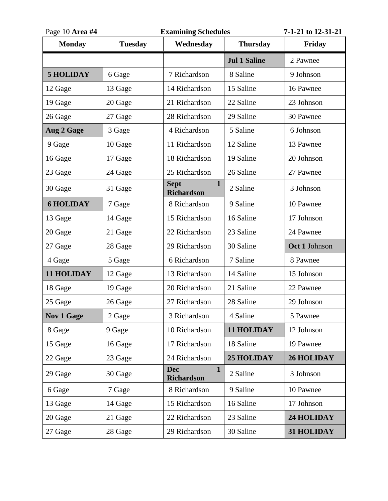| Page 10 Area #4   |                | <b>Examining Schedules</b>                       |                     | 7-1-21 to 12-31-21 |
|-------------------|----------------|--------------------------------------------------|---------------------|--------------------|
| <b>Monday</b>     | <b>Tuesday</b> | Wednesday                                        | <b>Thursday</b>     | Friday             |
|                   |                |                                                  | <b>Jul 1 Saline</b> | 2 Pawnee           |
| <b>5 HOLIDAY</b>  | 6 Gage         | 7 Richardson                                     | 8 Saline            | 9 Johnson          |
| 12 Gage           | 13 Gage        | 14 Richardson                                    | 15 Saline           | 16 Pawnee          |
| 19 Gage           | 20 Gage        | 21 Richardson                                    | 22 Saline           | 23 Johnson         |
| 26 Gage           | 27 Gage        | 28 Richardson                                    | 29 Saline           | 30 Pawnee          |
| Aug 2 Gage        | 3 Gage         | 4 Richardson                                     | 5 Saline            | 6 Johnson          |
| 9 Gage            | 10 Gage        | 11 Richardson                                    | 12 Saline           | 13 Pawnee          |
| 16 Gage           | 17 Gage        | 18 Richardson                                    | 19 Saline           | 20 Johnson         |
| 23 Gage           | 24 Gage        | 25 Richardson                                    | 26 Saline           | 27 Pawnee          |
| 30 Gage           | 31 Gage        | $\mathbf{1}$<br><b>Sept</b><br><b>Richardson</b> | 2 Saline            | 3 Johnson          |
| <b>6 HOLIDAY</b>  | 7 Gage         | 8 Richardson                                     | 9 Saline            | 10 Pawnee          |
| 13 Gage           | 14 Gage        | 15 Richardson                                    | 16 Saline           | 17 Johnson         |
| 20 Gage           | 21 Gage        | 22 Richardson                                    | 23 Saline           | 24 Pawnee          |
| 27 Gage           | 28 Gage        | 29 Richardson                                    | 30 Saline           | Oct 1 Johnson      |
| 4 Gage            | 5 Gage         | 6 Richardson                                     | 7 Saline            | 8 Pawnee           |
| 11 HOLIDAY        | 12 Gage        | 13 Richardson                                    | 14 Saline           | 15 Johnson         |
| 18 Gage           | 19 Gage        | 20 Richardson                                    | 21 Saline           | 22 Pawnee          |
| 25 Gage           | 26 Gage        | 27 Richardson                                    | 28 Saline           | 29 Johnson         |
| <b>Nov 1 Gage</b> | 2 Gage         | 3 Richardson                                     | 4 Saline            | 5 Pawnee           |
| 8 Gage            | 9 Gage         | 10 Richardson                                    | 11 HOLIDAY          | 12 Johnson         |
| 15 Gage           | 16 Gage        | 17 Richardson                                    | 18 Saline           | 19 Pawnee          |
| 22 Gage           | 23 Gage        | 24 Richardson                                    | <b>25 HOLIDAY</b>   | <b>26 HOLIDAY</b>  |
| 29 Gage           | 30 Gage        | <b>Dec</b><br>$\mathbf{1}$<br><b>Richardson</b>  | 2 Saline            | 3 Johnson          |
| 6 Gage            | 7 Gage         | 8 Richardson                                     | 9 Saline            | 10 Pawnee          |
| 13 Gage           | 14 Gage        | 15 Richardson                                    | 16 Saline           | 17 Johnson         |
| 20 Gage           | 21 Gage        | 22 Richardson                                    | 23 Saline           | 24 HOLIDAY         |
| 27 Gage           | 28 Gage        | 29 Richardson                                    | 30 Saline           | 31 HOLIDAY         |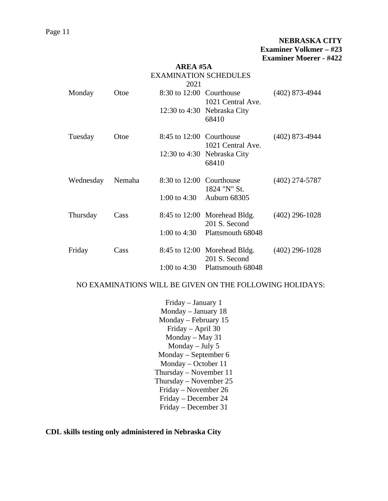|                              |        | AREA #5A                 |                                               |                  |  |  |
|------------------------------|--------|--------------------------|-----------------------------------------------|------------------|--|--|
| <b>EXAMINATION SCHEDULES</b> |        |                          |                                               |                  |  |  |
|                              |        | 2021                     |                                               |                  |  |  |
| Monday                       | Otoe   | 8:30 to 12:00 Courthouse | 1021 Central Ave.                             | $(402)$ 873-4944 |  |  |
|                              |        |                          | 12:30 to 4:30 Nebraska City<br>68410          |                  |  |  |
| Tuesday                      | Otoe   | 8:45 to 12:00 Courthouse | 1021 Central Ave.                             | $(402)$ 873-4944 |  |  |
|                              |        |                          | 12:30 to 4:30 Nebraska City<br>68410          |                  |  |  |
| Wednesday                    | Nemaha | 8:30 to 12:00 Courthouse | 1824 "N" St.                                  | $(402)$ 274-5787 |  |  |
|                              |        | 1:00 to 4:30             | Auburn 68305                                  |                  |  |  |
| Thursday                     | Cass   |                          | 8:45 to 12:00 Morehead Bldg.<br>201 S. Second | $(402)$ 296-1028 |  |  |
|                              |        | 1:00 to 4:30             | Plattsmouth 68048                             |                  |  |  |
| Friday                       | Cass   | 8:45 to 12:00            | Morehead Bldg.<br>201 S. Second               | $(402)$ 296-1028 |  |  |
|                              |        | 1:00 to 4:30             | Plattsmouth 68048                             |                  |  |  |

#### NO EXAMINATIONS WILL BE GIVEN ON THE FOLLOWING HOLIDAYS:

Friday – January 1 Monday – January 18 Monday – February 15 Friday – April 30 Monday – May 31 Monday – July 5 Monday – September 6 Monday – October 11 Thursday – November 11 Thursday – November 25 Friday – November 26 Friday – December 24 Friday – December 31

**CDL skills testing only administered in Nebraska City**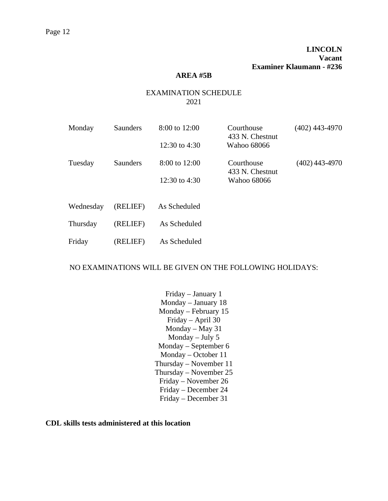### **AREA #5B**

# EXAMINATION SCHEDULE 2021

| Monday    | <b>Saunders</b> | 8:00 to 12:00     | Courthouse<br>433 N. Chestnut | $(402)$ 443-4970 |
|-----------|-----------------|-------------------|-------------------------------|------------------|
|           |                 | 12:30 to 4:30     | Wahoo 68066                   |                  |
| Tuesday   | Saunders        | $8:00$ to $12:00$ | Courthouse<br>433 N. Chestnut | (402) 443-4970   |
|           |                 | 12:30 to 4:30     | Wahoo 68066                   |                  |
|           |                 |                   |                               |                  |
| Wednesday | (RELIEF)        | As Scheduled      |                               |                  |
| Thursday  | (RELIEF)        | As Scheduled      |                               |                  |
| Friday    | (RELIEF)        | As Scheduled      |                               |                  |

#### NO EXAMINATIONS WILL BE GIVEN ON THE FOLLOWING HOLIDAYS:

Friday – January 1 Monday – January 18 Monday – February 15 Friday – April 30 Monday – May 31 Monday – July 5 Monday – September 6 Monday – October 11 Thursday – November 11 Thursday – November 25 Friday – November 26 Friday – December 24 Friday – December 31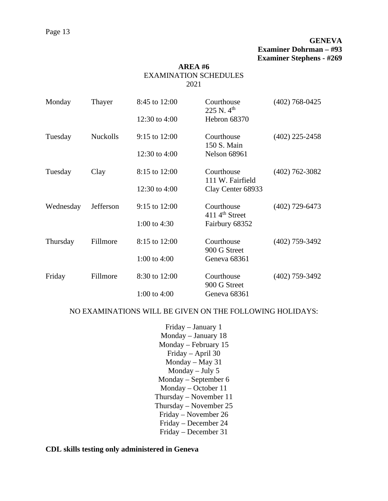# **GENEVA Examiner Dohrman – #93 Examiner Stephens - #269**

# **AREA #6** EXAMINATION SCHEDULES 2021

| Monday    | Thayer          | 8:45 to 12:00     | Courthouse<br>225 N. $4^{\text{th}}$    | $(402)$ 768-0425 |
|-----------|-----------------|-------------------|-----------------------------------------|------------------|
|           |                 | 12:30 to $4:00$   | Hebron 68370                            |                  |
| Tuesday   | <b>Nuckolls</b> | $9:15$ to $12:00$ | Courthouse<br>150 S. Main               | $(402)$ 225-2458 |
|           |                 | 12:30 to $4:00$   | <b>Nelson 68961</b>                     |                  |
| Tuesday   | Clay            | 8:15 to 12:00     | Courthouse<br>111 W. Fairfield          | $(402)$ 762-3082 |
|           |                 | 12:30 to 4:00     | Clay Center 68933                       |                  |
| Wednesday | Jefferson       | $9:15$ to $12:00$ | Courthouse<br>$4114^{\text{th}}$ Street | $(402)$ 729-6473 |
|           |                 | 1:00 to $4:30$    | Fairbury 68352                          |                  |
| Thursday  | Fillmore        | 8:15 to 12:00     | Courthouse<br>900 G Street              | $(402)$ 759-3492 |
|           |                 | 1:00 to $4:00$    | Geneva 68361                            |                  |
| Friday    | Fillmore        | 8:30 to 12:00     | Courthouse<br>900 G Street              | $(402)$ 759-3492 |
|           |                 | 1:00 to $4:00$    | Geneva 68361                            |                  |

#### NO EXAMINATIONS WILL BE GIVEN ON THE FOLLOWING HOLIDAYS:

Friday – January 1 Monday – January 18 Monday – February 15 Friday – April 30 Monday – May 31 Monday – July 5 Monday – September 6 Monday – October 11 Thursday – November 11 Thursday – November 25 Friday – November 26 Friday – December 24 Friday – December 31

### **CDL skills testing only administered in Geneva**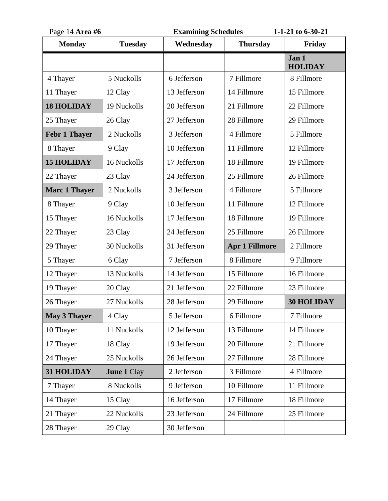| Page 14 Area #6      |                    | <b>Examining Schedules</b> |                       | 1-1-21 to 6-30-21       |
|----------------------|--------------------|----------------------------|-----------------------|-------------------------|
| <b>Monday</b>        | <b>Tuesday</b>     | Wednesday                  | <b>Thursday</b>       | Friday                  |
|                      |                    |                            |                       | Jan 1<br><b>HOLIDAY</b> |
| 4 Thayer             | 5 Nuckolls         | 6 Jefferson                | 7 Fillmore            | 8 Fillmore              |
| 11 Thayer            | 12 Clay            | 13 Jefferson               | 14 Fillmore           | 15 Fillmore             |
| <b>18 HOLIDAY</b>    | 19 Nuckolls        | 20 Jefferson               | 21 Fillmore           | 22 Fillmore             |
| 25 Thayer            | 26 Clay            | 27 Jefferson               | 28 Fillmore           | 29 Fillmore             |
| <b>Febr 1 Thayer</b> | 2 Nuckolls         | 3 Jefferson                | 4 Fillmore            | 5 Fillmore              |
| 8 Thayer             | 9 Clay             | 10 Jefferson               | 11 Fillmore           | 12 Fillmore             |
| <b>15 HOLIDAY</b>    | 16 Nuckolls        | 17 Jefferson               | 18 Fillmore           | 19 Fillmore             |
| 22 Thayer            | 23 Clay            | 24 Jefferson               | 25 Fillmore           | 26 Fillmore             |
| <b>Marc 1 Thayer</b> | 2 Nuckolls         | 3 Jefferson                | 4 Fillmore            | 5 Fillmore              |
| 8 Thayer             | 9 Clay             | 10 Jefferson               | 11 Fillmore           | 12 Fillmore             |
| 15 Thayer            | 16 Nuckolls        | 17 Jefferson               | 18 Fillmore           | 19 Fillmore             |
| 22 Thayer            | 23 Clay            | 24 Jefferson               | 25 Fillmore           | 26 Fillmore             |
| 29 Thayer            | 30 Nuckolls        | 31 Jefferson               | <b>Apr 1 Fillmore</b> | 2 Fillmore              |
| 5 Thayer             | 6 Clay             | 7 Jefferson                | 8 Fillmore            | 9 Fillmore              |
| 12 Thayer            | 13 Nuckolls        | 14 Jefferson               | 15 Fillmore           | 16 Fillmore             |
| 19 Thayer            | 20 Clay            | 21 Jefferson               | 22 Fillmore           | 23 Fillmore             |
| 26 Thayer            | 27 Nuckolls        | 28 Jefferson               | 29 Fillmore           | <b>30 HOLIDAY</b>       |
| <b>May 3 Thayer</b>  | 4 Clay             | 5 Jefferson                | 6 Fillmore            | 7 Fillmore              |
| 10 Thayer            | 11 Nuckolls        | 12 Jefferson               | 13 Fillmore           | 14 Fillmore             |
| 17 Thayer            | 18 Clay            | 19 Jefferson               | 20 Fillmore           | 21 Fillmore             |
| 24 Thayer            | 25 Nuckolls        | 26 Jefferson               | 27 Fillmore           | 28 Fillmore             |
| 31 HOLIDAY           | <b>June 1 Clay</b> | 2 Jefferson                | 3 Fillmore            | 4 Fillmore              |
| 7 Thayer             | 8 Nuckolls         | 9 Jefferson                | 10 Fillmore           | 11 Fillmore             |
| 14 Thayer            | 15 Clay            | 16 Jefferson               | 17 Fillmore           | 18 Fillmore             |
| 21 Thayer            | 22 Nuckolls        | 23 Jefferson               | 24 Fillmore           | 25 Fillmore             |
| 28 Thayer            | 29 Clay            | 30 Jefferson               |                       |                         |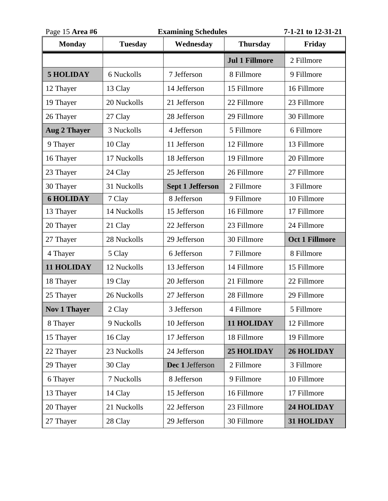| Page 15 Area #6     |                | <b>Examining Schedules</b> |                       | 7-1-21 to 12-31-21    |
|---------------------|----------------|----------------------------|-----------------------|-----------------------|
| <b>Monday</b>       | <b>Tuesday</b> | Wednesday                  | <b>Thursday</b>       | Friday                |
|                     |                |                            | <b>Jul 1 Fillmore</b> | 2 Fillmore            |
| <b>5 HOLIDAY</b>    | 6 Nuckolls     | 7 Jefferson                | 8 Fillmore            | 9 Fillmore            |
| 12 Thayer           | 13 Clay        | 14 Jefferson               | 15 Fillmore           | 16 Fillmore           |
| 19 Thayer           | 20 Nuckolls    | 21 Jefferson               | 22 Fillmore           | 23 Fillmore           |
| 26 Thayer           | 27 Clay        | 28 Jefferson               | 29 Fillmore           | 30 Fillmore           |
| <b>Aug 2 Thayer</b> | 3 Nuckolls     | 4 Jefferson                | 5 Fillmore            | 6 Fillmore            |
| 9 Thayer            | 10 Clay        | 11 Jefferson               | 12 Fillmore           | 13 Fillmore           |
| 16 Thayer           | 17 Nuckolls    | 18 Jefferson               | 19 Fillmore           | 20 Fillmore           |
| 23 Thayer           | 24 Clay        | 25 Jefferson               | 26 Fillmore           | 27 Fillmore           |
| 30 Thayer           | 31 Nuckolls    | <b>Sept 1 Jefferson</b>    | 2 Fillmore            | 3 Fillmore            |
| <b>6 HOLIDAY</b>    | 7 Clay         | 8 Jefferson                | 9 Fillmore            | 10 Fillmore           |
| 13 Thayer           | 14 Nuckolls    | 15 Jefferson               | 16 Fillmore           | 17 Fillmore           |
| 20 Thayer           | 21 Clay        | 22 Jefferson               | 23 Fillmore           | 24 Fillmore           |
| 27 Thayer           | 28 Nuckolls    | 29 Jefferson               | 30 Fillmore           | <b>Oct 1 Fillmore</b> |
| 4 Thayer            | 5 Clay         | 6 Jefferson                | 7 Fillmore            | 8 Fillmore            |
| 11 HOLIDAY          | 12 Nuckolls    | 13 Jefferson               | 14 Fillmore           | 15 Fillmore           |
| 18 Thayer           | 19 Clay        | 20 Jefferson               | 21 Fillmore           | 22 Fillmore           |
| 25 Thayer           | 26 Nuckolls    | 27 Jefferson               | 28 Fillmore           | 29 Fillmore           |
| <b>Nov 1 Thayer</b> | 2 Clay         | 3 Jefferson                | 4 Fillmore            | 5 Fillmore            |
| 8 Thayer            | 9 Nuckolls     | 10 Jefferson               | 11 HOLIDAY            | 12 Fillmore           |
| 15 Thayer           | 16 Clay        | 17 Jefferson               | 18 Fillmore           | 19 Fillmore           |
| 22 Thayer           | 23 Nuckolls    | 24 Jefferson               | <b>25 HOLIDAY</b>     | <b>26 HOLIDAY</b>     |
| 29 Thayer           | 30 Clay        | Dec 1 Jefferson            | 2 Fillmore            | 3 Fillmore            |
| 6 Thayer            | 7 Nuckolls     | 8 Jefferson                | 9 Fillmore            | 10 Fillmore           |
| 13 Thayer           | 14 Clay        | 15 Jefferson               | 16 Fillmore           | 17 Fillmore           |
| 20 Thayer           | 21 Nuckolls    | 22 Jefferson               | 23 Fillmore           | 24 HOLIDAY            |
| 27 Thayer           | 28 Clay        | 29 Jefferson               | 30 Fillmore           | 31 HOLIDAY            |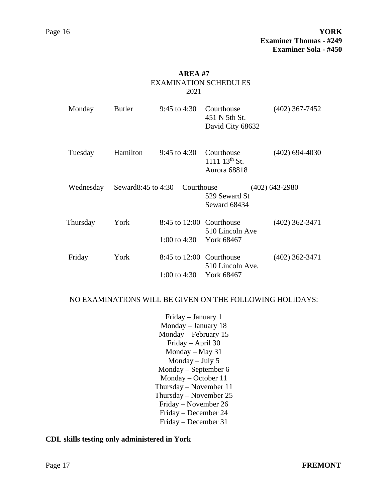### **AREA #7** EXAMINATION SCHEDULES 2021

| Monday    | <b>Butler</b>         | 9:45 to 4:30                                        | Courthouse<br>451 N 5th St.<br>David City 68632 | $(402)$ 367-7452 |
|-----------|-----------------------|-----------------------------------------------------|-------------------------------------------------|------------------|
| Tuesday   | Hamilton              | 9:45 to 4:30                                        | Courthouse<br>$111113^{th}$ St.<br>Aurora 68818 | $(402)$ 694-4030 |
| Wednesday | Seward 8:45 to $4:30$ | Courthouse                                          | 529 Seward St<br>Seward 68434                   | $(402)$ 643-2980 |
| Thursday  | York                  | 8:45 to 12:00 Courthouse<br>1:00 to 4:30 York 68467 | 510 Lincoln Ave                                 | $(402)$ 362-3471 |
| Friday    | York                  | 8:45 to 12:00 Courthouse<br>1:00 to 4:30 York 68467 | 510 Lincoln Ave.                                | $(402)$ 362-3471 |

#### NO EXAMINATIONS WILL BE GIVEN ON THE FOLLOWING HOLIDAYS:

Friday – January 1 Monday – January 18 Monday – February 15 Friday – April 30 Monday – May 31 Monday – July 5 Monday – September 6 Monday – October 11 Thursday – November 11 Thursday – November 25 Friday – November 26 Friday – December 24 Friday – December 31

### **CDL skills testing only administered in York**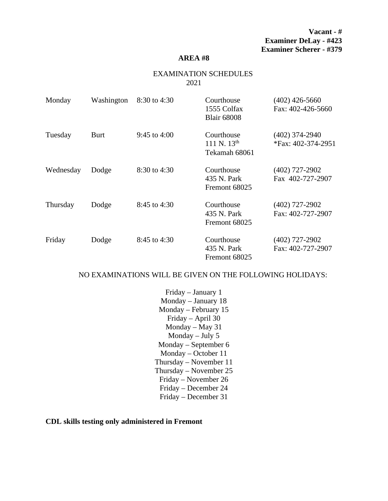**Vacant - # Examiner DeLay - #423 Examiner Scherer - #379**

#### **AREA #8**

### EXAMINATION SCHEDULES 2021

| Monday    | Washington  | 8:30 to 4:30   | Courthouse<br>1555 Colfax<br><b>Blair 68008</b> | $(402)$ 426-5660<br>Fax: 402-426-5660  |
|-----------|-------------|----------------|-------------------------------------------------|----------------------------------------|
| Tuesday   | <b>Burt</b> | 9:45 to $4:00$ | Courthouse<br>111 N. $13^{th}$<br>Tekamah 68061 | $(402)$ 374-2940<br>*Fax: 402-374-2951 |
| Wednesday | Dodge       | 8:30 to 4:30   | Courthouse<br>435 N. Park<br>Fremont 68025      | $(402)$ 727-2902<br>Fax 402-727-2907   |
| Thursday  | Dodge       | 8:45 to 4:30   | Courthouse<br>435 N. Park<br>Fremont 68025      | $(402)$ 727-2902<br>Fax: 402-727-2907  |
| Friday    | Dodge       | 8:45 to 4:30   | Courthouse<br>435 N. Park<br>Fremont 68025      | $(402)$ 727-2902<br>Fax: 402-727-2907  |

#### NO EXAMINATIONS WILL BE GIVEN ON THE FOLLOWING HOLIDAYS:

Friday – January 1 Monday – January 18 Monday – February 15 Friday – April 30 Monday – May 31 Monday – July 5 Monday – September 6 Monday – October 11 Thursday – November 11 Thursday – November 25 Friday – November 26 Friday – December 24 Friday – December 31

**CDL skills testing only administered in Fremont**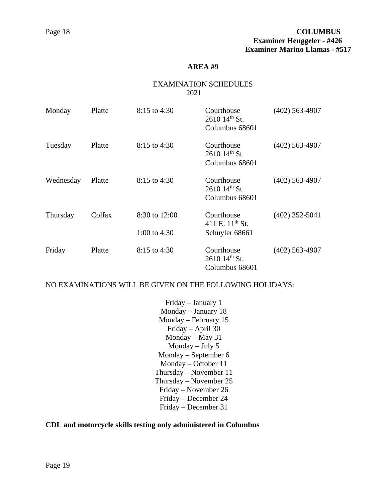#### EXAMINATION SCHEDULES 2021

| Monday    | Platte | 8:15 to 4:30                    | Courthouse<br>$261014^{\text{th}}$ St.<br>Columbus 68601 | $(402)$ 563-4907 |
|-----------|--------|---------------------------------|----------------------------------------------------------|------------------|
| Tuesday   | Platte | $8:15$ to 4:30                  | Courthouse<br>$261014^{\text{th}}$ St.<br>Columbus 68601 | $(402)$ 563-4907 |
| Wednesday | Platte | $8:15$ to 4:30                  | Courthouse<br>$261014^{\text{th}}$ St.<br>Columbus 68601 | $(402)$ 563-4907 |
| Thursday  | Colfax | 8:30 to 12:00<br>1:00 to $4:30$ | Courthouse<br>411 E. $11^{th}$ St.<br>Schuyler 68661     | $(402)$ 352-5041 |
| Friday    | Platte | $8:15$ to 4:30                  | Courthouse<br>$261014^{\text{th}}$ St.<br>Columbus 68601 | $(402)$ 563-4907 |

NO EXAMINATIONS WILL BE GIVEN ON THE FOLLOWING HOLIDAYS:

Friday – January 1 Monday – January 18 Monday – February 15 Friday – April 30 Monday – May 31 Monday – July 5 Monday – September 6 Monday – October 11 Thursday – November 11 Thursday – November 25 Friday – November 26 Friday – December 24 Friday – December 31

### **CDL and motorcycle skills testing only administered in Columbus**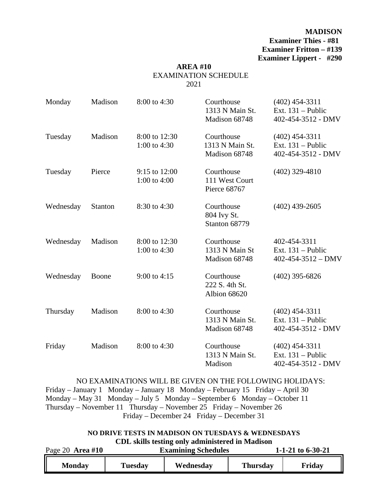**MADISON Examiner Thies - #81 Examiner Fritton – #139 Examiner Lippert - #290**

### **AREA #10** EXAMINATION SCHEDULE 2021

| Monday    | Madison | 8:00 to 4:30                    | Courthouse<br>1313 N Main St.<br>Madison 68748 | $(402)$ 454-3311<br>Ext. $131$ – Public<br>402-454-3512 - DMV   |
|-----------|---------|---------------------------------|------------------------------------------------|-----------------------------------------------------------------|
| Tuesday   | Madison | 8:00 to 12:30<br>1:00 to $4:30$ | Courthouse<br>1313 N Main St.<br>Madison 68748 | $(402)$ 454-3311<br>Ext. $131$ – Public<br>402-454-3512 - DMV   |
| Tuesday   | Pierce  | 9:15 to 12:00<br>1:00 to 4:00   | Courthouse<br>111 West Court<br>Pierce 68767   | $(402)$ 329-4810                                                |
| Wednesday | Stanton | 8:30 to 4:30                    | Courthouse<br>804 Ivy St.<br>Stanton 68779     | $(402)$ 439-2605                                                |
| Wednesday | Madison | 8:00 to 12:30<br>1:00 to 4:30   | Courthouse<br>1313 N Main St<br>Madison 68748  | 402-454-3311<br>Ext. $131$ – Public<br>$402 - 454 - 3512 - DMV$ |
| Wednesday | Boone   | 9:00 to 4:15                    | Courthouse<br>222 S. 4th St.<br>Albion 68620   | $(402)$ 395-6826                                                |
| Thursday  | Madison | 8:00 to 4:30                    | Courthouse<br>1313 N Main St.<br>Madison 68748 | $(402)$ 454-3311<br>Ext. $131$ – Public<br>402-454-3512 - DMV   |
| Friday    | Madison | 8:00 to 4:30                    | Courthouse<br>1313 N Main St.<br>Madison       | $(402)$ 454-3311<br>Ext. $131$ – Public<br>402-454-3512 - DMV   |

NO EXAMINATIONS WILL BE GIVEN ON THE FOLLOWING HOLIDAYS:

Friday – January 1 Monday – January 18 Monday – February 15 Friday – April 30 Monday – May 31 Monday – July 5 Monday – September 6 Monday – October 11 Thursday – November 11 Thursday – November 25 Friday – November 26 Friday – December 24 Friday – December 31

# **NO DRIVE TESTS IN MADISON ON TUESDAYS & WEDNESDAYS CDL skills testing only administered in Madison**

| Page 20 Area #10 |         | <b>Examining Schedules</b> | 1-1-21 to $6-30-21$ |        |
|------------------|---------|----------------------------|---------------------|--------|
| <b>Monday</b>    | Tuesday | Wednesday                  | <b>Thursday</b>     | Friday |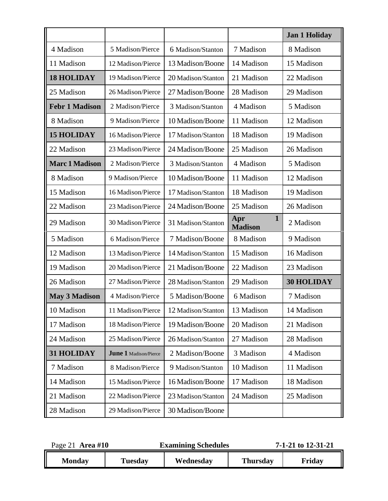|                       |                              |                    |                                       | <b>Jan 1 Holiday</b> |
|-----------------------|------------------------------|--------------------|---------------------------------------|----------------------|
| 4 Madison             | 5 Madison/Pierce             | 6 Madison/Stanton  | 7 Madison                             | 8 Madison            |
| 11 Madison            | 12 Madison/Pierce            | 13 Madison/Boone   | 14 Madison                            | 15 Madison           |
| <b>18 HOLIDAY</b>     | 19 Madison/Pierce            | 20 Madison/Stanton | 21 Madison                            | 22 Madison           |
| 25 Madison            | 26 Madison/Pierce            | 27 Madison/Boone   | 28 Madison                            | 29 Madison           |
| <b>Febr 1 Madison</b> | 2 Madison/Pierce             | 3 Madison/Stanton  | 4 Madison                             | 5 Madison            |
| 8 Madison             | 9 Madison/Pierce             | 10 Madison/Boone   | 11 Madison                            | 12 Madison           |
| <b>15 HOLIDAY</b>     | 16 Madison/Pierce            | 17 Madison/Stanton | 18 Madison                            | 19 Madison           |
| 22 Madison            | 23 Madison/Pierce            | 24 Madison/Boone   | 25 Madison                            | 26 Madison           |
| <b>Marc 1 Madison</b> | 2 Madison/Pierce             | 3 Madison/Stanton  | 4 Madison                             | 5 Madison            |
| 8 Madison             | 9 Madison/Pierce             | 10 Madison/Boone   | 11 Madison                            | 12 Madison           |
| 15 Madison            | 16 Madison/Pierce            | 17 Madison/Stanton | 18 Madison                            | 19 Madison           |
| 22 Madison            | 23 Madison/Pierce            | 24 Madison/Boone   | 25 Madison                            | 26 Madison           |
| 29 Madison            | 30 Madison/Pierce            | 31 Madison/Stanton | $\mathbf{1}$<br>Apr<br><b>Madison</b> | 2 Madison            |
| 5 Madison             | 6 Madison/Pierce             | 7 Madison/Boone    | 8 Madison                             | 9 Madison            |
| 12 Madison            | 13 Madison/Pierce            | 14 Madison/Stanton | 15 Madison                            | 16 Madison           |
| 19 Madison            | 20 Madison/Pierce            | 21 Madison/Boone   | 22 Madison                            | 23 Madison           |
| 26 Madison            | 27 Madison/Pierce            | 28 Madison/Stanton | 29 Madison                            | <b>30 HOLIDAY</b>    |
| <b>May 3 Madison</b>  | 4 Madison/Pierce             | 5 Madison/Boone    | 6 Madison                             | 7 Madison            |
| 10 Madison            | 11 Madison/Pierce            | 12 Madison/Stanton | 13 Madison                            | 14 Madison           |
| 17 Madison            | 18 Madison/Pierce            | 19 Madison/Boone   | 20 Madison                            | 21 Madison           |
| 24 Madison            | 25 Madison/Pierce            | 26 Madison/Stanton | 27 Madison                            | 28 Madison           |
| <b>31 HOLIDAY</b>     | <b>June 1 Madison/Pierce</b> | 2 Madison/Boone    | 3 Madison                             | 4 Madison            |
| 7 Madison             | 8 Madison/Pierce             | 9 Madison/Stanton  | 10 Madison                            | 11 Madison           |
| 14 Madison            | 15 Madison/Pierce            | 16 Madison/Boone   | 17 Madison                            | 18 Madison           |
| 21 Madison            | 22 Madison/Pierce            | 23 Madison/Stanton | 24 Madison                            | 25 Madison           |
| 28 Madison            | 29 Madison/Pierce            | 30 Madison/Boone   |                                       |                      |

| Page 21 Area #10 |                | <b>Examining Schedules</b> |                 | 7-1-21 to 12-31-21 |
|------------------|----------------|----------------------------|-----------------|--------------------|
| <b>Monday</b>    | <b>Tuesday</b> | Wednesday                  | <b>Thursday</b> | Friday             |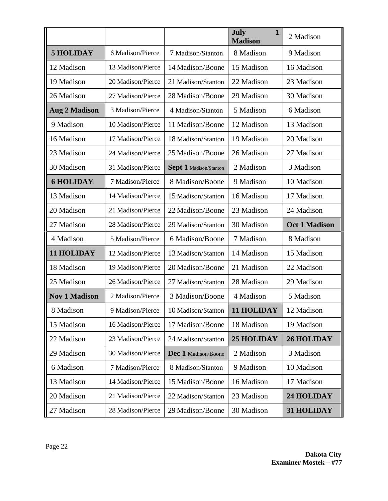|                      |                   |                        | July<br>$\mathbf{1}$<br><b>Madison</b> | 2 Madison            |
|----------------------|-------------------|------------------------|----------------------------------------|----------------------|
| <b>5 HOLIDAY</b>     | 6 Madison/Pierce  | 7 Madison/Stanton      | 8 Madison                              | 9 Madison            |
| 12 Madison           | 13 Madison/Pierce | 14 Madison/Boone       | 15 Madison                             | 16 Madison           |
| 19 Madison           | 20 Madison/Pierce | 21 Madison/Stanton     | 22 Madison                             | 23 Madison           |
| 26 Madison           | 27 Madison/Pierce | 28 Madison/Boone       | 29 Madison                             | 30 Madison           |
| <b>Aug 2 Madison</b> | 3 Madison/Pierce  | 4 Madison/Stanton      | 5 Madison                              | 6 Madison            |
| 9 Madison            | 10 Madison/Pierce | 11 Madison/Boone       | 12 Madison                             | 13 Madison           |
| 16 Madison           | 17 Madison/Pierce | 18 Madison/Stanton     | 19 Madison                             | 20 Madison           |
| 23 Madison           | 24 Madison/Pierce | 25 Madison/Boone       | 26 Madison                             | 27 Madison           |
| 30 Madison           | 31 Madison/Pierce | Sept 1 Madison/Stanton | 2 Madison                              | 3 Madison            |
| <b>6 HOLIDAY</b>     | 7 Madison/Pierce  | 8 Madison/Boone        | 9 Madison                              | 10 Madison           |
| 13 Madison           | 14 Madison/Pierce | 15 Madison/Stanton     | 16 Madison                             | 17 Madison           |
| 20 Madison           | 21 Madison/Pierce | 22 Madison/Boone       | 23 Madison                             | 24 Madison           |
| 27 Madison           | 28 Madison/Pierce | 29 Madison/Stanton     | 30 Madison                             | <b>Oct 1 Madison</b> |
| 4 Madison            | 5 Madison/Pierce  | 6 Madison/Boone        | 7 Madison                              | 8 Madison            |
| <b>11 HOLIDAY</b>    | 12 Madison/Pierce | 13 Madison/Stanton     | 14 Madison                             | 15 Madison           |
| 18 Madison           | 19 Madison/Pierce | 20 Madison/Boone       | 21 Madison                             | 22 Madison           |
| 25 Madison           | 26 Madison/Pierce | 27 Madison/Stanton     | 28 Madison                             | 29 Madison           |
| <b>Nov 1 Madison</b> | 2 Madison/Pierce  | 3 Madison/Boone        | 4 Madison                              | 5 Madison            |
| 8 Madison            | 9 Madison/Pierce  | 10 Madison/Stanton     | 11 HOLIDAY                             | 12 Madison           |
| 15 Madison           | 16 Madison/Pierce | 17 Madison/Boone       | 18 Madison                             | 19 Madison           |
| 22 Madison           | 23 Madison/Pierce | 24 Madison/Stanton     | <b>25 HOLIDAY</b>                      | <b>26 HOLIDAY</b>    |
| 29 Madison           | 30 Madison/Pierce | Dec 1 Madison/Boone    | 2 Madison                              | 3 Madison            |
| 6 Madison            | 7 Madison/Pierce  | 8 Madison/Stanton      | 9 Madison                              | 10 Madison           |
| 13 Madison           | 14 Madison/Pierce | 15 Madison/Boone       | 16 Madison                             | 17 Madison           |
| 20 Madison           | 21 Madison/Pierce | 22 Madison/Stanton     | 23 Madison                             | 24 HOLIDAY           |
| 27 Madison           | 28 Madison/Pierce | 29 Madison/Boone       | 30 Madison                             | 31 HOLIDAY           |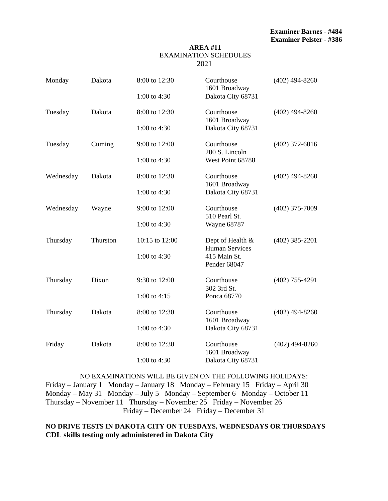#### **AREA #11** EXAMINATION SCHEDULES 2021

| Monday    | Dakota   | 8:00 to 12:30  | Courthouse<br>1601 Broadway               | $(402)$ 494-8260 |
|-----------|----------|----------------|-------------------------------------------|------------------|
|           |          | 1:00 to 4:30   | Dakota City 68731                         |                  |
| Tuesday   | Dakota   | 8:00 to 12:30  | Courthouse<br>1601 Broadway               | $(402)$ 494-8260 |
|           |          | 1:00 to 4:30   | Dakota City 68731                         |                  |
| Tuesday   | Cuming   | 9:00 to 12:00  | Courthouse<br>200 S. Lincoln              | $(402)$ 372-6016 |
|           |          | 1:00 to 4:30   | West Point 68788                          |                  |
| Wednesday | Dakota   | 8:00 to 12:30  | Courthouse<br>1601 Broadway               | $(402)$ 494-8260 |
|           |          | 1:00 to 4:30   | Dakota City 68731                         |                  |
| Wednesday | Wayne    | 9:00 to 12:00  | Courthouse<br>510 Pearl St.               | $(402)$ 375-7009 |
|           |          | 1:00 to 4:30   | <b>Wayne 68787</b>                        |                  |
| Thursday  | Thurston | 10:15 to 12:00 | Dept of Health &<br><b>Human Services</b> | $(402)$ 385-2201 |
|           |          | 1:00 to 4:30   | 415 Main St.<br>Pender 68047              |                  |
| Thursday  | Dixon    | 9:30 to 12:00  | Courthouse<br>302 3rd St.                 | $(402)$ 755-4291 |
|           |          | 1:00 to $4:15$ | Ponca 68770                               |                  |
| Thursday  | Dakota   | 8:00 to 12:30  | Courthouse<br>1601 Broadway               | $(402)$ 494-8260 |
|           |          | 1:00 to 4:30   | Dakota City 68731                         |                  |
| Friday    | Dakota   | 8:00 to 12:30  | Courthouse<br>1601 Broadway               | $(402)$ 494-8260 |
|           |          | 1:00 to 4:30   | Dakota City 68731                         |                  |

NO EXAMINATIONS WILL BE GIVEN ON THE FOLLOWING HOLIDAYS: Friday – January 1 Monday – January 18 Monday – February 15 Friday – April 30 Monday – May 31 Monday – July 5 Monday – September 6 Monday – October 11 Thursday – November 11 Thursday – November 25 Friday – November 26 Friday – December 24 Friday – December 31

# **NO DRIVE TESTS IN DAKOTA CITY ON TUESDAYS, WEDNESDAYS OR THURSDAYS CDL skills testing only administered in Dakota City**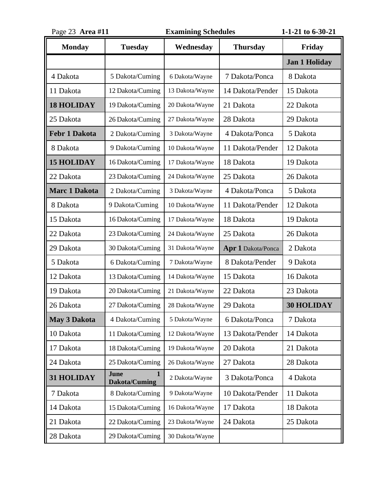| Page 23 Area #11     |                                              | <b>Examining Schedules</b> | 1-1-21 to 6-30-21  |                      |
|----------------------|----------------------------------------------|----------------------------|--------------------|----------------------|
| <b>Monday</b>        | <b>Tuesday</b>                               | Wednesday                  | <b>Thursday</b>    | Friday               |
|                      |                                              |                            |                    | <b>Jan 1 Holiday</b> |
| 4 Dakota             | 5 Dakota/Cuming                              | 6 Dakota/Wayne             | 7 Dakota/Ponca     | 8 Dakota             |
| 11 Dakota            | 12 Dakota/Cuming                             | 13 Dakota/Wayne            | 14 Dakota/Pender   | 15 Dakota            |
| <b>18 HOLIDAY</b>    | 19 Dakota/Cuming                             | 20 Dakota/Wayne            | 21 Dakota          | 22 Dakota            |
| 25 Dakota            | 26 Dakota/Cuming                             | 27 Dakota/Wayne            | 28 Dakota          | 29 Dakota            |
| <b>Febr 1 Dakota</b> | 2 Dakota/Cuming                              | 3 Dakota/Wayne             | 4 Dakota/Ponca     | 5 Dakota             |
| 8 Dakota             | 9 Dakota/Cuming                              | 10 Dakota/Wayne            | 11 Dakota/Pender   | 12 Dakota            |
| <b>15 HOLIDAY</b>    | 16 Dakota/Cuming                             | 17 Dakota/Wayne            | 18 Dakota          | 19 Dakota            |
| 22 Dakota            | 23 Dakota/Cuming                             | 24 Dakota/Wayne            | 25 Dakota          | 26 Dakota            |
| <b>Marc 1 Dakota</b> | 2 Dakota/Cuming                              | 3 Dakota/Wayne             | 4 Dakota/Ponca     | 5 Dakota             |
| 8 Dakota             | 9 Dakota/Cuming                              | 10 Dakota/Wayne            | 11 Dakota/Pender   | 12 Dakota            |
| 15 Dakota            | 16 Dakota/Cuming                             | 17 Dakota/Wayne            | 18 Dakota          | 19 Dakota            |
| 22 Dakota            | 23 Dakota/Cuming                             | 24 Dakota/Wayne            | 25 Dakota          | 26 Dakota            |
| 29 Dakota            | 30 Dakota/Cuming                             | 31 Dakota/Wayne            | Apr 1 Dakota/Ponca | 2 Dakota             |
| 5 Dakota             | 6 Dakota/Cuming                              | 7 Dakota/Wayne             | 8 Dakota/Pender    | 9 Dakota             |
| 12 Dakota            | 13 Dakota/Cuming                             | 14 Dakota/Wayne            | 15 Dakota          | 16 Dakota            |
| 19 Dakota            | 20 Dakota/Cuming                             | 21 Dakota/Wayne            | 22 Dakota          | 23 Dakota            |
| 26 Dakota            | 27 Dakota/Cuming                             | 28 Dakota/Wayne            | 29 Dakota          | <b>30 HOLIDAY</b>    |
| <b>May 3 Dakota</b>  | 4 Dakota/Cuming                              | 5 Dakota/Wayne             | 6 Dakota/Ponca     | 7 Dakota             |
| 10 Dakota            | 11 Dakota/Cuming                             | 12 Dakota/Wayne            | 13 Dakota/Pender   | 14 Dakota            |
| 17 Dakota            | 18 Dakota/Cuming                             | 19 Dakota/Wayne            | 20 Dakota          | 21 Dakota            |
| 24 Dakota            | 25 Dakota/Cuming                             | 26 Dakota/Wayne            | 27 Dakota          | 28 Dakota            |
| 31 HOLIDAY           | June<br>$\mathbf{1}$<br><b>Dakota/Cuming</b> | 2 Dakota/Wayne             | 3 Dakota/Ponca     | 4 Dakota             |
| 7 Dakota             | 8 Dakota/Cuming                              | 9 Dakota/Wayne             | 10 Dakota/Pender   | 11 Dakota            |
| 14 Dakota            | 15 Dakota/Cuming                             | 16 Dakota/Wayne            | 17 Dakota          | 18 Dakota            |
| 21 Dakota            | 22 Dakota/Cuming                             | 23 Dakota/Wayne            | 24 Dakota          | 25 Dakota            |
| 28 Dakota            | 29 Dakota/Cuming                             | 30 Dakota/Wayne            |                    |                      |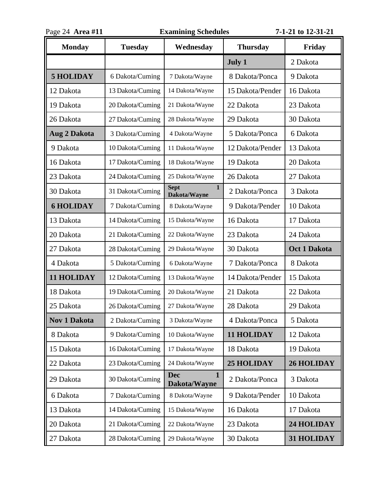| Page 24 Area #11    |                  | <b>Examining Schedules</b>                  | 7-1-21 to 12-31-21 |                   |
|---------------------|------------------|---------------------------------------------|--------------------|-------------------|
| <b>Monday</b>       | <b>Tuesday</b>   | Wednesday                                   | <b>Thursday</b>    | Friday            |
|                     |                  |                                             | <b>July 1</b>      | 2 Dakota          |
| <b>5 HOLIDAY</b>    | 6 Dakota/Cuming  | 7 Dakota/Wayne                              | 8 Dakota/Ponca     | 9 Dakota          |
| 12 Dakota           | 13 Dakota/Cuming | 14 Dakota/Wayne                             | 15 Dakota/Pender   | 16 Dakota         |
| 19 Dakota           | 20 Dakota/Cuming | 21 Dakota/Wayne                             | 22 Dakota          | 23 Dakota         |
| 26 Dakota           | 27 Dakota/Cuming | 28 Dakota/Wayne                             | 29 Dakota          | 30 Dakota         |
| <b>Aug 2 Dakota</b> | 3 Dakota/Cuming  | 4 Dakota/Wayne                              | 5 Dakota/Ponca     | 6 Dakota          |
| 9 Dakota            | 10 Dakota/Cuming | 11 Dakota/Wayne                             | 12 Dakota/Pender   | 13 Dakota         |
| 16 Dakota           | 17 Dakota/Cuming | 18 Dakota/Wayne                             | 19 Dakota          | 20 Dakota         |
| 23 Dakota           | 24 Dakota/Cuming | 25 Dakota/Wayne                             | 26 Dakota          | 27 Dakota         |
| 30 Dakota           | 31 Dakota/Cuming | $\mathbf{1}$<br><b>Sept</b><br>Dakota/Wayne | 2 Dakota/Ponca     | 3 Dakota          |
| <b>6 HOLIDAY</b>    | 7 Dakota/Cuming  | 8 Dakota/Wayne                              | 9 Dakota/Pender    | 10 Dakota         |
| 13 Dakota           | 14 Dakota/Cuming | 15 Dakota/Wayne                             | 16 Dakota          | 17 Dakota         |
| 20 Dakota           | 21 Dakota/Cuming | 22 Dakota/Wayne                             | 23 Dakota          | 24 Dakota         |
| 27 Dakota           | 28 Dakota/Cuming | 29 Dakota/Wayne                             | 30 Dakota          | Oct 1 Dakota      |
| 4 Dakota            | 5 Dakota/Cuming  | 6 Dakota/Wayne                              | 7 Dakota/Ponca     | 8 Dakota          |
| 11 HOLIDAY          | 12 Dakota/Cuming | 13 Dakota/Wayne                             | 14 Dakota/Pender   | 15 Dakota         |
| 18 Dakota           | 19 Dakota/Cuming | 20 Dakota/Wayne                             | 21 Dakota          | 22 Dakota         |
| 25 Dakota           | 26 Dakota/Cuming | 27 Dakota/Wayne                             | 28 Dakota          | 29 Dakota         |
| <b>Nov 1 Dakota</b> | 2 Dakota/Cuming  | 3 Dakota/Wayne                              | 4 Dakota/Ponca     | 5 Dakota          |
| 8 Dakota            | 9 Dakota/Cuming  | 10 Dakota/Wayne                             | <b>11 HOLIDAY</b>  | 12 Dakota         |
| 15 Dakota           | 16 Dakota/Cuming | 17 Dakota/Wayne                             | 18 Dakota          | 19 Dakota         |
| 22 Dakota           | 23 Dakota/Cuming | 24 Dakota/Wayne                             | <b>25 HOLIDAY</b>  | <b>26 HOLIDAY</b> |
| 29 Dakota           | 30 Dakota/Cuming | <b>Dec</b><br>$\mathbf{1}$<br>Dakota/Wayne  | 2 Dakota/Ponca     | 3 Dakota          |
| 6 Dakota            | 7 Dakota/Cuming  | 8 Dakota/Wayne                              | 9 Dakota/Pender    | 10 Dakota         |
| 13 Dakota           | 14 Dakota/Cuming | 15 Dakota/Wayne                             | 16 Dakota          | 17 Dakota         |
| 20 Dakota           | 21 Dakota/Cuming | 22 Dakota/Wayne                             | 23 Dakota          | 24 HOLIDAY        |
| 27 Dakota           | 28 Dakota/Cuming | 29 Dakota/Wayne                             | 30 Dakota          | 31 HOLIDAY        |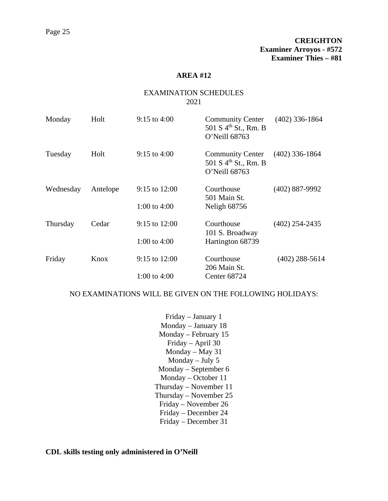# EXAMINATION SCHEDULES 2021

| Monday    | Holt     | $9:15$ to $4:00$                    | <b>Community Center</b><br>501 S 4 <sup>th</sup> St., Rm. B<br>O'Neill 68763 | $(402)$ 336-1864 |
|-----------|----------|-------------------------------------|------------------------------------------------------------------------------|------------------|
| Tuesday   | Holt     | $9:15$ to 4:00                      | <b>Community Center</b><br>501 S 4 <sup>th</sup> St., Rm. B<br>O'Neill 68763 | $(402)$ 336-1864 |
| Wednesday | Antelope | $9:15$ to $12:00$<br>1:00 to $4:00$ | Courthouse<br>501 Main St.<br>Neligh 68756                                   | $(402)$ 887-9992 |
| Thursday  | Cedar    | 9:15 to $12:00$<br>1:00 to $4:00$   | Courthouse<br>101 S. Broadway<br>Hartington 68739                            | $(402)$ 254-2435 |
| Friday    | Knox     | $9:15$ to $12:00$<br>1:00 to $4:00$ | Courthouse<br>206 Main St.<br>Center 68724                                   | $(402)$ 288-5614 |

#### NO EXAMINATIONS WILL BE GIVEN ON THE FOLLOWING HOLIDAYS:

Friday – January 1 Monday – January 18 Monday – February 15 Friday – April 30 Monday – May 31 Monday – July 5 Monday – September 6 Monday – October 11 Thursday – November 11 Thursday – November 25 Friday – November 26 Friday – December 24 Friday – December 31

**CDL skills testing only administered in O'Neill**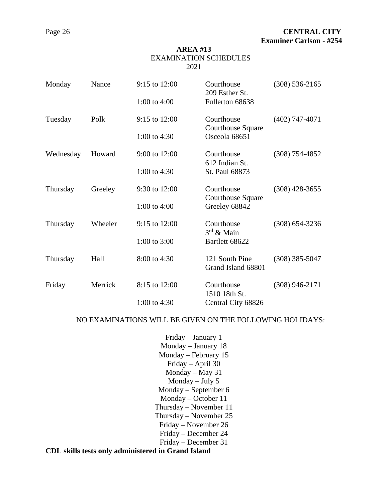#### EXAMINATION SCHEDULES 2021

| Monday    | Nance   | 9:15 to 12:00  | Courthouse<br>209 Esther St.           | $(308) 536 - 2165$ |
|-----------|---------|----------------|----------------------------------------|--------------------|
|           |         | 1:00 to $4:00$ | Fullerton 68638                        |                    |
| Tuesday   | Polk    | 9:15 to 12:00  | Courthouse<br><b>Courthouse Square</b> | $(402)$ 747-4071   |
|           |         | 1:00 to $4:30$ | Osceola 68651                          |                    |
| Wednesday | Howard  | 9:00 to 12:00  | Courthouse<br>612 Indian St.           | $(308)$ 754-4852   |
|           |         | 1:00 to $4:30$ | St. Paul 68873                         |                    |
| Thursday  | Greeley | 9:30 to 12:00  | Courthouse<br><b>Courthouse Square</b> | $(308)$ 428-3655   |
|           |         | 1:00 to $4:00$ | Greeley 68842                          |                    |
| Thursday  | Wheeler | 9:15 to 12:00  | Courthouse<br>$3rd$ & Main             | $(308)$ 654-3236   |
|           |         | 1:00 to 3:00   | Bartlett 68622                         |                    |
| Thursday  | Hall    | 8:00 to 4:30   | 121 South Pine<br>Grand Island 68801   | $(308)$ 385-5047   |
| Friday    | Merrick | 8:15 to 12:00  | Courthouse<br>1510 18th St.            | $(308)$ 946-2171   |
|           |         | 1:00 to $4:30$ | Central City 68826                     |                    |

### NO EXAMINATIONS WILL BE GIVEN ON THE FOLLOWING HOLIDAYS:

- Friday January 1 Monday – January 18 Monday – February 15 Friday – April 30 Monday – May 31 Monday – July 5 Monday – September 6 Monday – October 11 Thursday – November 11 Thursday – November 25 Friday – November 26 Friday – December 24 Friday – December 31
- **CDL skills tests only administered in Grand Island**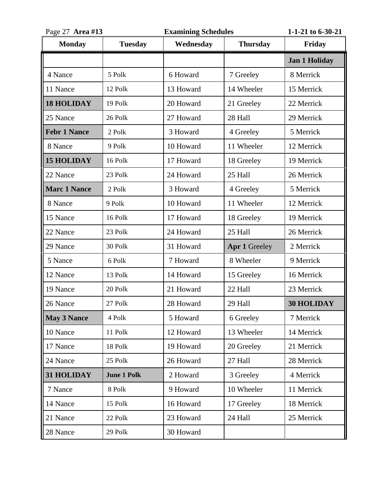| Page 27 Area #13    |                    | <b>Examining Schedules</b> |                      | 1-1-21 to 6-30-21    |
|---------------------|--------------------|----------------------------|----------------------|----------------------|
| <b>Monday</b>       | <b>Tuesday</b>     | Wednesday                  | <b>Thursday</b>      | Friday               |
|                     |                    |                            |                      | <b>Jan 1 Holiday</b> |
| 4 Nance             | 5 Polk             | 6 Howard                   | 7 Greeley            | 8 Merrick            |
| 11 Nance            | 12 Polk            | 13 Howard                  | 14 Wheeler           | 15 Merrick           |
| <b>18 HOLIDAY</b>   | 19 Polk            | 20 Howard                  | 21 Greeley           | 22 Merrick           |
| 25 Nance            | 26 Polk            | 27 Howard                  | 28 Hall              | 29 Merrick           |
| <b>Febr 1 Nance</b> | 2 Polk             | 3 Howard                   | 4 Greeley            | 5 Merrick            |
| 8 Nance             | 9 Polk             | 10 Howard                  | 11 Wheeler           | 12 Merrick           |
| <b>15 HOLIDAY</b>   | 16 Polk            | 17 Howard                  | 18 Greeley           | 19 Merrick           |
| 22 Nance            | 23 Polk            | 24 Howard                  | 25 Hall              | 26 Merrick           |
| <b>Marc 1 Nance</b> | 2 Polk             | 3 Howard                   | 4 Greeley            | 5 Merrick            |
| 8 Nance             | 9 Polk             | 10 Howard                  | 11 Wheeler           | 12 Merrick           |
| 15 Nance            | 16 Polk            | 17 Howard                  | 18 Greeley           | 19 Merrick           |
| 22 Nance            | 23 Polk            | 24 Howard                  | 25 Hall              | 26 Merrick           |
| 29 Nance            | 30 Polk            | 31 Howard                  | <b>Apr 1 Greeley</b> | 2 Merrick            |
| 5 Nance             | 6 Polk             | 7 Howard                   | 8 Wheeler            | 9 Merrick            |
| 12 Nance            | 13 Polk            | 14 Howard                  | 15 Greeley           | 16 Merrick           |
| 19 Nance            | 20 Polk            | 21 Howard                  | 22 Hall              | 23 Merrick           |
| 26 Nance            | 27 Polk            | 28 Howard                  | 29 Hall              | <b>30 HOLIDAY</b>    |
| <b>May 3 Nance</b>  | 4 Polk             | 5 Howard                   | 6 Greeley            | 7 Merrick            |
| 10 Nance            | 11 Polk            | 12 Howard                  | 13 Wheeler           | 14 Merrick           |
| 17 Nance            | 18 Polk            | 19 Howard                  | 20 Greeley           | 21 Merrick           |
| 24 Nance            | 25 Polk            | 26 Howard                  | 27 Hall              | 28 Merrick           |
| 31 HOLIDAY          | <b>June 1 Polk</b> | 2 Howard                   | 3 Greeley            | 4 Merrick            |
| 7 Nance             | 8 Polk             | 9 Howard                   | 10 Wheeler           | 11 Merrick           |
| 14 Nance            | 15 Polk            | 16 Howard                  | 17 Greeley           | 18 Merrick           |
| 21 Nance            | 22 Polk            | 23 Howard                  | 24 Hall              | 25 Merrick           |
| 28 Nance            | 29 Polk            | 30 Howard                  |                      |                      |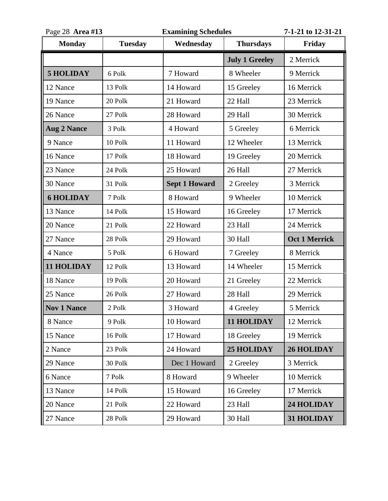| Page 28 Area #13   |                | <b>Examining Schedules</b> |                       | 7-1-21 to 12-31-21   |
|--------------------|----------------|----------------------------|-----------------------|----------------------|
| <b>Monday</b>      | <b>Tuesday</b> | Wednesday                  | <b>Thursdays</b>      | Friday               |
|                    |                |                            | <b>July 1 Greeley</b> | 2 Merrick            |
| <b>5 HOLIDAY</b>   | 6 Polk         | 7 Howard                   | 8 Wheeler             | 9 Merrick            |
| 12 Nance           | 13 Polk        | 14 Howard                  | 15 Greeley            | 16 Merrick           |
| 19 Nance           | 20 Polk        | 21 Howard                  | 22 Hall               | 23 Merrick           |
| 26 Nance           | 27 Polk        | 28 Howard                  | 29 Hall               | 30 Merrick           |
| <b>Aug 2 Nance</b> | 3 Polk         | 4 Howard                   | 5 Greeley             | 6 Merrick            |
| 9 Nance            | 10 Polk        | 11 Howard                  | 12 Wheeler            | 13 Merrick           |
| 16 Nance           | 17 Polk        | 18 Howard                  | 19 Greeley            | 20 Merrick           |
| 23 Nance           | 24 Polk        | 25 Howard                  | 26 Hall               | 27 Merrick           |
| 30 Nance           | 31 Polk        | <b>Sept 1 Howard</b>       | 2 Greeley             | 3 Merrick            |
| <b>6 HOLIDAY</b>   | 7 Polk         | 8 Howard                   | 9 Wheeler             | 10 Merrick           |
| 13 Nance           | 14 Polk        | 15 Howard                  | 16 Greeley            | 17 Merrick           |
| 20 Nance           | 21 Polk        | 22 Howard                  | 23 Hall               | 24 Merrick           |
| 27 Nance           | 28 Polk        | 29 Howard                  | 30 Hall               | <b>Oct 1 Merrick</b> |
| 4 Nance            | 5 Polk         | 6 Howard                   | 7 Greeley             | 8 Merrick            |
| 11 HOLIDAY         | 12 Polk        | 13 Howard                  | 14 Wheeler            | 15 Merrick           |
| 18 Nance           | 19 Polk        | 20 Howard                  | 21 Greeley            | 22 Merrick           |
| 25 Nance           | 26 Polk        | 27 Howard                  | 28 Hall               | 29 Merrick           |
| <b>Nov 1 Nance</b> | 2 Polk         | 3 Howard                   | 4 Greeley             | 5 Merrick            |
| 8 Nance            | 9 Polk         | 10 Howard                  | 11 HOLIDAY            | 12 Merrick           |
| 15 Nance           | 16 Polk        | 17 Howard                  | 18 Greeley            | 19 Merrick           |
| 2 Nance            | 23 Polk        | 24 Howard                  | <b>25 HOLIDAY</b>     | <b>26 HOLIDAY</b>    |
| 29 Nance           | 30 Polk        | Dec 1 Howard               | 2 Greeley             | 3 Merrick            |
| 6 Nance            | 7 Polk         | 8 Howard                   | 9 Wheeler             | 10 Merrick           |
| 13 Nance           | 14 Polk        | 15 Howard                  | 16 Greeley            | 17 Merrick           |
| 20 Nance           | 21 Polk        | 22 Howard                  | 23 Hall               | 24 HOLIDAY           |
| 27 Nance           | 28 Polk        | 29 Howard                  | 30 Hall               | 31 HOLIDAY           |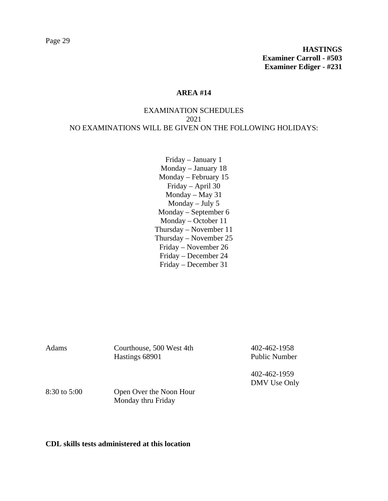# EXAMINATION SCHEDULES 2021 NO EXAMINATIONS WILL BE GIVEN ON THE FOLLOWING HOLIDAYS:

Friday – January 1 Monday – January 18 Monday – February 15 Friday – April 30 Monday – May 31 Monday – July 5 Monday – September 6 Monday – October 11 Thursday – November 11 Thursday – November 25 Friday – November 26 Friday – December 24 Friday – December 31

| Adams            | Courthouse, 500 West 4th<br>Hastings 68901    | 402-462-1958<br><b>Public Number</b> |
|------------------|-----------------------------------------------|--------------------------------------|
| $8:30$ to $5:00$ | Open Over the Noon Hour<br>Monday thru Friday | 402-462-1959<br>DMV Use Only         |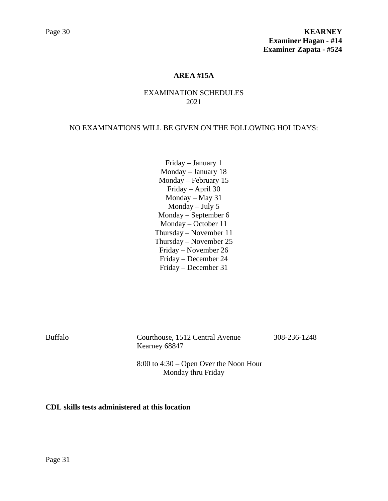# **AREA #15A**

# EXAMINATION SCHEDULES 2021

#### NO EXAMINATIONS WILL BE GIVEN ON THE FOLLOWING HOLIDAYS:

Friday – January 1 Monday – January 18 Monday – February 15 Friday – April 30 Monday – May 31 Monday – July 5 Monday – September 6 Monday – October 11 Thursday – November 11 Thursday – November 25 Friday – November 26 Friday – December 24 Friday – December 31

Buffalo Courthouse, 1512 Central Avenue 308-236-1248 Kearney 68847

8:00 to 4:30 – Open Over the Noon Hour Monday thru Friday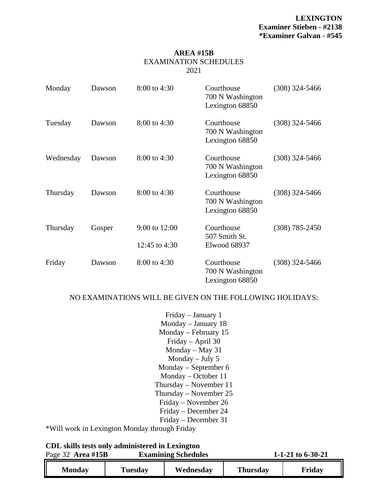#### **AREA #15B** EXAMINATION SCHEDULES 2021

| Monday    | Dawson | 8:00 to 4:30                   | Courthouse<br>700 N Washington<br>Lexington 68850 | $(308)$ 324-5466 |
|-----------|--------|--------------------------------|---------------------------------------------------|------------------|
| Tuesday   | Dawson | 8:00 to 4:30                   | Courthouse<br>700 N Washington<br>Lexington 68850 | $(308)$ 324-5466 |
| Wednesday | Dawson | 8:00 to 4:30                   | Courthouse<br>700 N Washington<br>Lexington 68850 | $(308)$ 324-5466 |
| Thursday  | Dawson | 8:00 to 4:30                   | Courthouse<br>700 N Washington<br>Lexington 68850 | $(308)$ 324-5466 |
| Thursday  | Gosper | 9:00 to 12:00<br>12:45 to 4:30 | Courthouse<br>507 Smith St.<br>Elwood 68937       | $(308)$ 785-2450 |
| Friday    | Dawson | 8:00 to 4:30                   | Courthouse<br>700 N Washington<br>Lexington 68850 | $(308)$ 324-5466 |

### NO EXAMINATIONS WILL BE GIVEN ON THE FOLLOWING HOLIDAYS:

Friday – January 1 Monday – January 18 Monday – February 15 Friday – April 30 Monday – May 31 Monday – July 5 Monday – September 6 Monday – October 11 Thursday – November 11 Thursday – November 25 Friday – November 26 Friday – December 24 Friday – December 31

\*Will work in Lexington Monday through Friday

|                          | CDL skills tests only administered in Lexington |
|--------------------------|-------------------------------------------------|
| $P_{30}$ $(3)$ Area #15R | <b>Examining Schedule</b>                       |

Page 32 **Area #15B Examining Schedules 1-1-21 to 6-30-21 Monday Tuesday Wednesday Thursday Friday**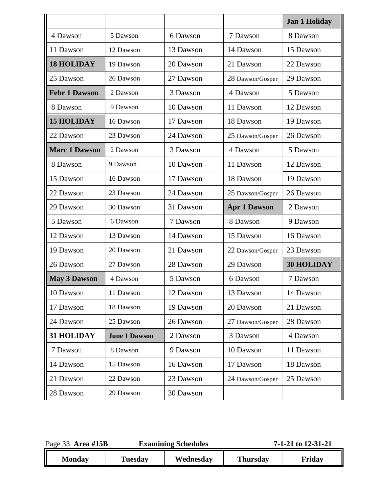|                      |                      |           |                     | <b>Jan 1 Holiday</b> |
|----------------------|----------------------|-----------|---------------------|----------------------|
| 4 Dawson             | 5 Dawson             | 6 Dawson  | 7 Dawson            | 8 Dawson             |
| 11 Dawson            | 12 Dawson            | 13 Dawson | 14 Dawson           | 15 Dawson            |
| <b>18 HOLIDAY</b>    | 19 Dawson            | 20 Dawson | 21 Dawson           | 22 Dawson            |
| 25 Dawson            | 26 Dawson            | 27 Dawson | 28 Dawson/Gosper    | 29 Dawson            |
| <b>Febr 1 Dawson</b> | 2 Dawson             | 3 Dawson  | 4 Dawson            | 5 Dawson             |
| 8 Dawson             | 9 Dawson             | 10 Dawson | 11 Dawson           | 12 Dawson            |
| <b>15 HOLIDAY</b>    | 16 Dawson            | 17 Dawson | 18 Dawson           | 19 Dawson            |
| 22 Dawson            | 23 Dawson            | 24 Dawson | 25 Dawson/Gosper    | 26 Dawson            |
| <b>Marc 1 Dawson</b> | 2 Dawson             | 3 Dawson  | 4 Dawson            | 5 Dawson             |
| 8 Dawson             | 9 Dawson             | 10 Dawson | 11 Dawson           | 12 Dawson            |
| 15 Dawson            | 16 Dawson            | 17 Dawson | 18 Dawson           | 19 Dawson            |
| 22 Dawson            | 23 Dawson            | 24 Dawson | 25 Dawson/Gosper    | 26 Dawson            |
| 29 Dawson            | 30 Dawson            | 31 Dawson | <b>Apr 1 Dawson</b> | 2 Dawson             |
| 5 Dawson             | 6 Dawson             | 7 Dawson  | 8 Dawson            | 9 Dawson             |
| 12 Dawson            | 13 Dawson            | 14 Dawson | 15 Dawson           | 16 Dawson            |
| 19 Dawson            | 20 Dawson            | 21 Dawson | 22 Dawson/Gosper    | 23 Dawson            |
| 26 Dawson            | 27 Dawson            | 28 Dawson | 29 Dawson           | <b>30 HOLIDAY</b>    |
| <b>May 3 Dawson</b>  | 4 Dawson             | 5 Dawson  | 6 Dawson            | 7 Dawson             |
| 10 Dawson            | 11 Dawson            | 12 Dawson | 13 Dawson           | 14 Dawson            |
| 17 Dawson            | 18 Dawson            | 19 Dawson | 20 Dawson           | 21 Dawson            |
| 24 Dawson            | 25 Dawson            | 26 Dawson | 27 Dawson/Gosper    | 28 Dawson            |
| 31 HOLIDAY           | <b>June 1 Dawson</b> | 2 Dawson  | 3 Dawson            | 4 Dawson             |
| 7 Dawson             | 8 Dawson             | 9 Dawson  | 10 Dawson           | 11 Dawson            |
| 14 Dawson            | 15 Dawson            | 16 Dawson | 17 Dawson           | 18 Dawson            |
| 21 Dawson            | 22 Dawson            | 23 Dawson | 24 Dawson/Gosper    | 25 Dawson            |
| 28 Dawson            | 29 Dawson            | 30 Dawson |                     |                      |

| Page 33 Area #15B |                | <b>Examining Schedules</b> |                 | 7-1-21 to 12-31-21 |  |
|-------------------|----------------|----------------------------|-----------------|--------------------|--|
| <b>Monday</b>     | <b>Tuesday</b> | Wednesday                  | <b>Thursday</b> | Friday             |  |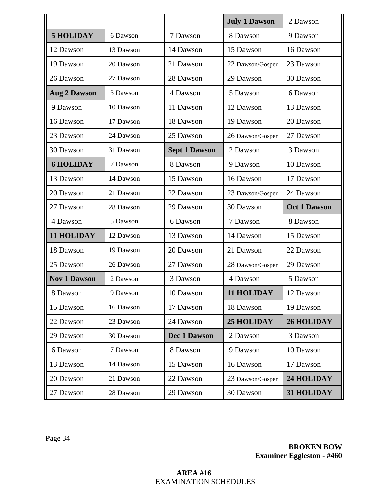|                     |           |                      | <b>July 1 Dawson</b> | 2 Dawson            |
|---------------------|-----------|----------------------|----------------------|---------------------|
| <b>5 HOLIDAY</b>    | 6 Dawson  | 7 Dawson             | 8 Dawson             | 9 Dawson            |
| 12 Dawson           | 13 Dawson | 14 Dawson            | 15 Dawson            | 16 Dawson           |
| 19 Dawson           | 20 Dawson | 21 Dawson            | 22 Dawson/Gosper     | 23 Dawson           |
| 26 Dawson           | 27 Dawson | 28 Dawson            | 29 Dawson            | 30 Dawson           |
| <b>Aug 2 Dawson</b> | 3 Dawson  | 4 Dawson             | 5 Dawson             | 6 Dawson            |
| 9 Dawson            | 10 Dawson | 11 Dawson            | 12 Dawson            | 13 Dawson           |
| 16 Dawson           | 17 Dawson | 18 Dawson            | 19 Dawson            | 20 Dawson           |
| 23 Dawson           | 24 Dawson | 25 Dawson            | 26 Dawson/Gosper     | 27 Dawson           |
| 30 Dawson           | 31 Dawson | <b>Sept 1 Dawson</b> | 2 Dawson             | 3 Dawson            |
| <b>6 HOLIDAY</b>    | 7 Dawson  | 8 Dawson             | 9 Dawson             | 10 Dawson           |
| 13 Dawson           | 14 Dawson | 15 Dawson            | 16 Dawson            | 17 Dawson           |
| 20 Dawson           | 21 Dawson | 22 Dawson            | 23 Dawson/Gosper     | 24 Dawson           |
| 27 Dawson           | 28 Dawson | 29 Dawson            | 30 Dawson            | <b>Oct 1 Dawson</b> |
| 4 Dawson            | 5 Dawson  | 6 Dawson             | 7 Dawson             | 8 Dawson            |
| <b>11 HOLIDAY</b>   | 12 Dawson | 13 Dawson            | 14 Dawson            | 15 Dawson           |
| 18 Dawson           | 19 Dawson | 20 Dawson            | 21 Dawson            | 22 Dawson           |
| 25 Dawson           | 26 Dawson | 27 Dawson            | 28 Dawson/Gosper     | 29 Dawson           |
| <b>Nov 1 Dawson</b> | 2 Dawson  | 3 Dawson             | 4 Dawson             | 5 Dawson            |
| 8 Dawson            | 9 Dawson  | 10 Dawson            | 11 HOLIDAY           | 12 Dawson           |
| 15 Dawson           | 16 Dawson | 17 Dawson            | 18 Dawson            | 19 Dawson           |
| 22 Dawson           | 23 Dawson | 24 Dawson            | <b>25 HOLIDAY</b>    | <b>26 HOLIDAY</b>   |
| 29 Dawson           | 30 Dawson | <b>Dec 1 Dawson</b>  | 2 Dawson             | 3 Dawson            |
| 6 Dawson            | 7 Dawson  | 8 Dawson             | 9 Dawson             | 10 Dawson           |
| 13 Dawson           | 14 Dawson | 15 Dawson            | 16 Dawson            | 17 Dawson           |
| 20 Dawson           | 21 Dawson | 22 Dawson            | 23 Dawson/Gosper     | 24 HOLIDAY          |
| 27 Dawson           | 28 Dawson | 29 Dawson            | 30 Dawson            | 31 HOLIDAY          |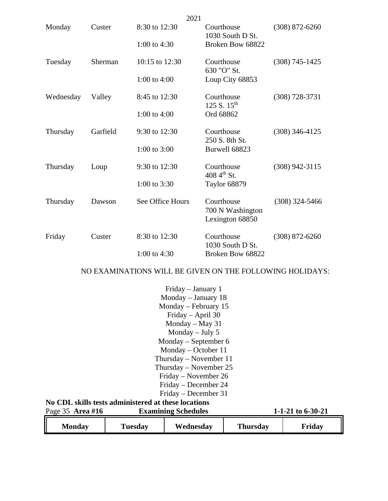| 8:30 to 12:30<br>Courthouse<br>$(308)$ 872-6260<br>Monday<br>Custer<br>1030 South D St.<br>Broken Bow 68822<br>1:00 to $4:30$<br>Sherman<br>10:15 to 12:30<br>Courthouse<br>$(308)$ 745-1425<br>Tuesday<br>630 "O" St.<br>1:00 to $4:00$<br>Loup City 68853<br>Courthouse<br>Wednesday<br>Valley<br>8:45 to 12:30<br>$(308) 728 - 3731$<br>125 S. 15 <sup>th</sup><br>1:00 to 4:00<br>Ord 68862<br>Garfield<br>9:30 to 12:30<br>Courthouse<br>$(308)$ 346-4125<br>Thursday<br>250 S. 8th St.<br>1:00 to $3:00$<br>Burwell 68823<br>9:30 to 12:30<br>Courthouse<br>$(308)$ 942-3115<br>Thursday<br>Loup<br>408 4 <sup>th</sup> St.<br>1:00 to $3:30$<br>Taylor 68879<br>See Office Hours<br>Courthouse<br>$(308)$ 324-5466<br>Thursday<br>Dawson<br>700 N Washington<br>Lexington 68850<br>8:30 to 12:30<br>Courthouse<br>Custer<br>$(308)$ 872-6260<br>Friday<br>1030 South D St.<br>1:00 to 4:30<br>Broken Bow 68822 |  | 2021 |  |
|-----------------------------------------------------------------------------------------------------------------------------------------------------------------------------------------------------------------------------------------------------------------------------------------------------------------------------------------------------------------------------------------------------------------------------------------------------------------------------------------------------------------------------------------------------------------------------------------------------------------------------------------------------------------------------------------------------------------------------------------------------------------------------------------------------------------------------------------------------------------------------------------------------------------------|--|------|--|
|                                                                                                                                                                                                                                                                                                                                                                                                                                                                                                                                                                                                                                                                                                                                                                                                                                                                                                                       |  |      |  |
|                                                                                                                                                                                                                                                                                                                                                                                                                                                                                                                                                                                                                                                                                                                                                                                                                                                                                                                       |  |      |  |
|                                                                                                                                                                                                                                                                                                                                                                                                                                                                                                                                                                                                                                                                                                                                                                                                                                                                                                                       |  |      |  |
|                                                                                                                                                                                                                                                                                                                                                                                                                                                                                                                                                                                                                                                                                                                                                                                                                                                                                                                       |  |      |  |
|                                                                                                                                                                                                                                                                                                                                                                                                                                                                                                                                                                                                                                                                                                                                                                                                                                                                                                                       |  |      |  |
|                                                                                                                                                                                                                                                                                                                                                                                                                                                                                                                                                                                                                                                                                                                                                                                                                                                                                                                       |  |      |  |
|                                                                                                                                                                                                                                                                                                                                                                                                                                                                                                                                                                                                                                                                                                                                                                                                                                                                                                                       |  |      |  |
|                                                                                                                                                                                                                                                                                                                                                                                                                                                                                                                                                                                                                                                                                                                                                                                                                                                                                                                       |  |      |  |
|                                                                                                                                                                                                                                                                                                                                                                                                                                                                                                                                                                                                                                                                                                                                                                                                                                                                                                                       |  |      |  |
|                                                                                                                                                                                                                                                                                                                                                                                                                                                                                                                                                                                                                                                                                                                                                                                                                                                                                                                       |  |      |  |
|                                                                                                                                                                                                                                                                                                                                                                                                                                                                                                                                                                                                                                                                                                                                                                                                                                                                                                                       |  |      |  |
|                                                                                                                                                                                                                                                                                                                                                                                                                                                                                                                                                                                                                                                                                                                                                                                                                                                                                                                       |  |      |  |
|                                                                                                                                                                                                                                                                                                                                                                                                                                                                                                                                                                                                                                                                                                                                                                                                                                                                                                                       |  |      |  |

# NO EXAMINATIONS WILL BE GIVEN ON THE FOLLOWING HOLIDAYS:

|                                                     |                          | Friday – January 1         |                 |                     |  |  |  |
|-----------------------------------------------------|--------------------------|----------------------------|-----------------|---------------------|--|--|--|
|                                                     | Monday $-$ January 18    |                            |                 |                     |  |  |  |
|                                                     | Monday – February 15     |                            |                 |                     |  |  |  |
|                                                     |                          | Friday – April 30          |                 |                     |  |  |  |
|                                                     |                          | Monday $-$ May 31          |                 |                     |  |  |  |
|                                                     |                          | Monday $-$ July 5          |                 |                     |  |  |  |
|                                                     | Monday – September 6     |                            |                 |                     |  |  |  |
| $Monday - October 11$                               |                          |                            |                 |                     |  |  |  |
|                                                     | Thursday – November 11   |                            |                 |                     |  |  |  |
|                                                     | Thursday – November $25$ |                            |                 |                     |  |  |  |
|                                                     |                          | Friday – November 26       |                 |                     |  |  |  |
|                                                     |                          | Friday – December 24       |                 |                     |  |  |  |
| Friday – December 31                                |                          |                            |                 |                     |  |  |  |
| No CDL skills tests administered at these locations |                          |                            |                 |                     |  |  |  |
| Page $35$ Area #16                                  |                          | <b>Examining Schedules</b> |                 | 1-1-21 to $6-30-21$ |  |  |  |
| <b>Monday</b>                                       | <b>Tuesday</b>           | Wednesday                  | <b>Thursday</b> | Friday              |  |  |  |

ון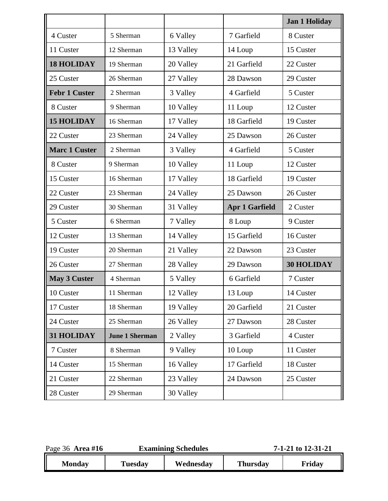|                      |                       |           |                       | <b>Jan 1 Holiday</b> |
|----------------------|-----------------------|-----------|-----------------------|----------------------|
| 4 Custer             | 5 Sherman             | 6 Valley  | 7 Garfield            | 8 Custer             |
| 11 Custer            | 12 Sherman            | 13 Valley | 14 Loup               | 15 Custer            |
| <b>18 HOLIDAY</b>    | 19 Sherman            | 20 Valley | 21 Garfield           | 22 Custer            |
| 25 Custer            | 26 Sherman            | 27 Valley | 28 Dawson             | 29 Custer            |
| <b>Febr 1 Custer</b> | 2 Sherman             | 3 Valley  | 4 Garfield            | 5 Custer             |
| 8 Custer             | 9 Sherman             | 10 Valley | 11 Loup               | 12 Custer            |
| <b>15 HOLIDAY</b>    | 16 Sherman            | 17 Valley | 18 Garfield           | 19 Custer            |
| 22 Custer            | 23 Sherman            | 24 Valley | 25 Dawson             | 26 Custer            |
| <b>Marc 1 Custer</b> | 2 Sherman             | 3 Valley  | 4 Garfield            | 5 Custer             |
| 8 Custer             | 9 Sherman             | 10 Valley | 11 Loup               | 12 Custer            |
| 15 Custer            | 16 Sherman            | 17 Valley | 18 Garfield           | 19 Custer            |
| 22 Custer            | 23 Sherman            | 24 Valley | 25 Dawson             | 26 Custer            |
| 29 Custer            | 30 Sherman            | 31 Valley | <b>Apr 1 Garfield</b> | 2 Custer             |
| 5 Custer             | 6 Sherman             | 7 Valley  | 8 Loup                | 9 Custer             |
| 12 Custer            | 13 Sherman            | 14 Valley | 15 Garfield           | 16 Custer            |
| 19 Custer            | 20 Sherman            | 21 Valley | 22 Dawson             | 23 Custer            |
| 26 Custer            | 27 Sherman            | 28 Valley | 29 Dawson             | <b>30 HOLIDAY</b>    |
| <b>May 3 Custer</b>  | 4 Sherman             | 5 Valley  | 6 Garfield            | 7 Custer             |
| 10 Custer            | 11 Sherman            | 12 Valley | 13 Loup               | 14 Custer            |
| 17 Custer            | 18 Sherman            | 19 Valley | 20 Garfield           | 21 Custer            |
| 24 Custer            | 25 Sherman            | 26 Valley | 27 Dawson             | 28 Custer            |
| 31 HOLIDAY           | <b>June 1 Sherman</b> | 2 Valley  | 3 Garfield            | 4 Custer             |
| 7 Custer             | 8 Sherman             | 9 Valley  | 10 Loup               | 11 Custer            |
| 14 Custer            | 15 Sherman            | 16 Valley | 17 Garfield           | 18 Custer            |
| 21 Custer            | 22 Sherman            | 23 Valley | 24 Dawson             | 25 Custer            |
| 28 Custer            | 29 Sherman            | 30 Valley |                       |                      |

| Page 36 Area #16 | <b>Examining Schedules</b> |           | 7-1-21 to 12-31-21 |        |
|------------------|----------------------------|-----------|--------------------|--------|
| <b>Monday</b>    | Tuesday                    | Wednesday | <b>Thursday</b>    | Friday |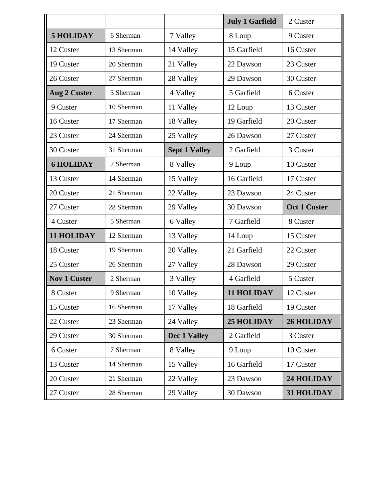|                     |            |                      | <b>July 1 Garfield</b> | 2 Custer            |
|---------------------|------------|----------------------|------------------------|---------------------|
| <b>5 HOLIDAY</b>    | 6 Sherman  | 7 Valley             | 8 Loup                 | 9 Custer            |
| 12 Custer           | 13 Sherman | 14 Valley            | 15 Garfield            | 16 Custer           |
| 19 Custer           | 20 Sherman | 21 Valley            | 22 Dawson              | 23 Custer           |
| 26 Custer           | 27 Sherman | 28 Valley            | 29 Dawson              | 30 Custer           |
| <b>Aug 2 Custer</b> | 3 Sherman  | 4 Valley             | 5 Garfield             | 6 Custer            |
| 9 Custer            | 10 Sherman | 11 Valley            | 12 Loup                | 13 Custer           |
| 16 Custer           | 17 Sherman | 18 Valley            | 19 Garfield            | 20 Custer           |
| 23 Custer           | 24 Sherman | 25 Valley            | 26 Dawson              | 27 Custer           |
| 30 Custer           | 31 Sherman | <b>Sept 1 Valley</b> | 2 Garfield             | 3 Custer            |
| <b>6 HOLIDAY</b>    | 7 Sherman  | 8 Valley             | 9 Loup                 | 10 Custer           |
| 13 Custer           | 14 Sherman | 15 Valley            | 16 Garfield            | 17 Custer           |
| 20 Custer           | 21 Sherman | 22 Valley            | 23 Dawson              | 24 Custer           |
| 27 Custer           | 28 Sherman | 29 Valley            | 30 Dawson              | <b>Oct 1 Custer</b> |
| 4 Custer            | 5 Sherman  | 6 Valley             | 7 Garfield             | 8 Custer            |
| <b>11 HOLIDAY</b>   | 12 Sherman | 13 Valley            | 14 Loup                | 15 Custer           |
| 18 Custer           | 19 Sherman | 20 Valley            | 21 Garfield            | 22 Custer           |
| 25 Custer           | 26 Sherman | 27 Valley            | 28 Dawson              | 29 Custer           |
| <b>Nov 1 Custer</b> | 2 Sherman  | 3 Valley             | 4 Garfield             | 5 Custer            |
| 8 Custer            | 9 Sherman  | 10 Valley            | 11 HOLIDAY             | 12 Custer           |
| 15 Custer           | 16 Sherman | 17 Valley            | 18 Garfield            | 19 Custer           |
| 22 Custer           | 23 Sherman | 24 Valley            | <b>25 HOLIDAY</b>      | <b>26 HOLIDAY</b>   |
| 29 Custer           | 30 Sherman | Dec 1 Valley         | 2 Garfield             | 3 Custer            |
| 6 Custer            | 7 Sherman  | 8 Valley             | 9 Loup                 | 10 Custer           |
| 13 Custer           | 14 Sherman | 15 Valley            | 16 Garfield            | 17 Custer           |
| 20 Custer           | 21 Sherman | 22 Valley            | 23 Dawson              | 24 HOLIDAY          |
| 27 Custer           | 28 Sherman | 29 Valley            | 30 Dawson              | 31 HOLIDAY          |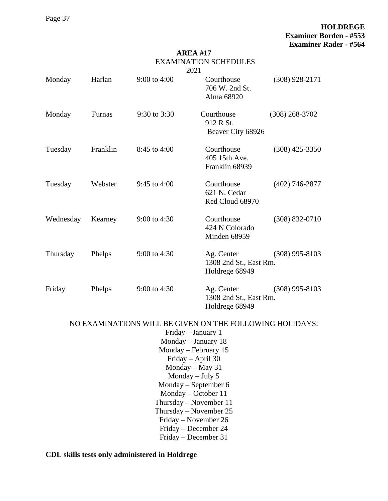Page 37

# **HOLDREGE Examiner Borden - #553 Examiner Rader - #564**

#### **AREA #17** EXAMINATION SCHEDULES  $2021$

|                                                                                                                                                                                                                                                                                                   |          |                  | 2021                                                   |                    |  |
|---------------------------------------------------------------------------------------------------------------------------------------------------------------------------------------------------------------------------------------------------------------------------------------------------|----------|------------------|--------------------------------------------------------|--------------------|--|
| Monday                                                                                                                                                                                                                                                                                            | Harlan   | $9:00$ to $4:00$ | Courthouse<br>706 W. 2nd St.<br>Alma 68920             | $(308)$ 928-2171   |  |
| Monday                                                                                                                                                                                                                                                                                            | Furnas   | 9:30 to 3:30     | Courthouse<br>912 R St.<br>Beaver City 68926           | $(308)$ 268-3702   |  |
| Tuesday                                                                                                                                                                                                                                                                                           | Franklin | 8:45 to 4:00     | Courthouse<br>405 15th Ave.<br>Franklin 68939          | $(308)$ 425-3350   |  |
| Tuesday                                                                                                                                                                                                                                                                                           | Webster  | 9:45 to $4:00$   | Courthouse<br>621 N. Cedar<br>Red Cloud 68970          | $(402)$ 746-2877   |  |
| Wednesday                                                                                                                                                                                                                                                                                         | Kearney  | $9:00$ to 4:30   | Courthouse<br>424 N Colorado<br>Minden 68959           | $(308) 832 - 0710$ |  |
| Thursday                                                                                                                                                                                                                                                                                          | Phelps   | 9:00 to 4:30     | Ag. Center<br>1308 2nd St., East Rm.<br>Holdrege 68949 | $(308)$ 995-8103   |  |
| Friday                                                                                                                                                                                                                                                                                            | Phelps   | 9:00 to $4:30$   | Ag. Center<br>1308 2nd St., East Rm.<br>Holdrege 68949 | $(308)$ 995-8103   |  |
| NO EXAMINATIONS WILL BE GIVEN ON THE FOLLOWING HOLIDAYS:<br>Friday - January 1<br>Monday - January 18<br>Monday – February 15<br>Friday - April 30<br>Monday $-$ May 31<br>Monday $-$ July 5<br>Monday – September 6<br>Monday - October 11<br>Thursday – November $11$<br>Thursday - November 25 |          |                  |                                                        |                    |  |
|                                                                                                                                                                                                                                                                                                   |          |                  | Friday – November 26<br>Friday - December 24           |                    |  |
|                                                                                                                                                                                                                                                                                                   |          |                  |                                                        |                    |  |

Friday – December 31

**CDL skills tests only administered in Holdrege**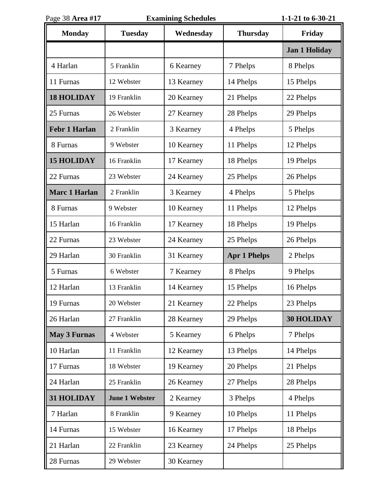| Page 38 Area #17     | <b>Examining Schedules</b> |            |                     | 1-1-21 to 6-30-21    |
|----------------------|----------------------------|------------|---------------------|----------------------|
| <b>Monday</b>        | <b>Tuesday</b>             | Wednesday  | <b>Thursday</b>     | Friday               |
|                      |                            |            |                     | <b>Jan 1 Holiday</b> |
| 4 Harlan             | 5 Franklin                 | 6 Kearney  | 7 Phelps            | 8 Phelps             |
| 11 Furnas            | 12 Webster                 | 13 Kearney | 14 Phelps           | 15 Phelps            |
| <b>18 HOLIDAY</b>    | 19 Franklin                | 20 Kearney | 21 Phelps           | 22 Phelps            |
| 25 Furnas            | 26 Webster                 | 27 Kearney | 28 Phelps           | 29 Phelps            |
| <b>Febr 1 Harlan</b> | 2 Franklin                 | 3 Kearney  | 4 Phelps            | 5 Phelps             |
| 8 Furnas             | 9 Webster                  | 10 Kearney | 11 Phelps           | 12 Phelps            |
| <b>15 HOLIDAY</b>    | 16 Franklin                | 17 Kearney | 18 Phelps           | 19 Phelps            |
| 22 Furnas            | 23 Webster                 | 24 Kearney | 25 Phelps           | 26 Phelps            |
| <b>Marc 1 Harlan</b> | 2 Franklin                 | 3 Kearney  | 4 Phelps            | 5 Phelps             |
| 8 Furnas             | 9 Webster                  | 10 Kearney | 11 Phelps           | 12 Phelps            |
| 15 Harlan            | 16 Franklin                | 17 Kearney | 18 Phelps           | 19 Phelps            |
| 22 Furnas            | 23 Webster                 | 24 Kearney | 25 Phelps           | 26 Phelps            |
| 29 Harlan            | 30 Franklin                | 31 Kearney | <b>Apr 1 Phelps</b> | 2 Phelps             |
| 5 Furnas             | 6 Webster                  | 7 Kearney  | 8 Phelps            | 9 Phelps             |
| 12 Harlan            | 13 Franklin                | 14 Kearney | 15 Phelps           | 16 Phelps            |
| 19 Furnas            | 20 Webster                 | 21 Kearney | 22 Phelps           | 23 Phelps            |
| 26 Harlan            | 27 Franklin                | 28 Kearney | 29 Phelps           | <b>30 HOLIDAY</b>    |
| <b>May 3 Furnas</b>  | 4 Webster                  | 5 Kearney  | 6 Phelps            | 7 Phelps             |
| 10 Harlan            | 11 Franklin                | 12 Kearney | 13 Phelps           | 14 Phelps            |
| 17 Furnas            | 18 Webster                 | 19 Kearney | 20 Phelps           | 21 Phelps            |
| 24 Harlan            | 25 Franklin                | 26 Kearney | 27 Phelps           | 28 Phelps            |
| 31 HOLIDAY           | <b>June 1 Webster</b>      | 2 Kearney  | 3 Phelps            | 4 Phelps             |
| 7 Harlan             | 8 Franklin                 | 9 Kearney  | 10 Phelps           | 11 Phelps            |
| 14 Furnas            | 15 Webster                 | 16 Kearney | 17 Phelps           | 18 Phelps            |
| 21 Harlan            | 22 Franklin                | 23 Kearney | 24 Phelps           | 25 Phelps            |
| 28 Furnas            | 29 Webster                 | 30 Kearney |                     |                      |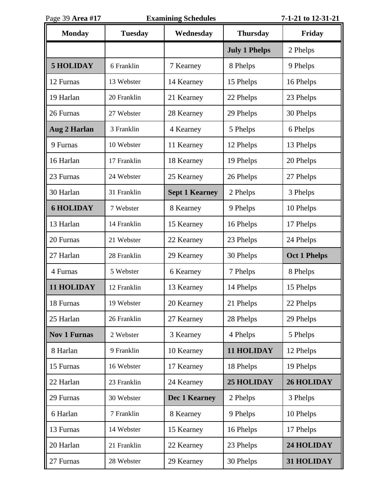| Page 39 Area #17    | <b>Examining Schedules</b> |                       |                      | 7-1-21 to 12-31-21  |
|---------------------|----------------------------|-----------------------|----------------------|---------------------|
| <b>Monday</b>       | <b>Tuesday</b>             | Wednesday             | <b>Thursday</b>      | Friday              |
|                     |                            |                       | <b>July 1 Phelps</b> | 2 Phelps            |
| <b>5 HOLIDAY</b>    | 6 Franklin                 | 7 Kearney             | 8 Phelps             | 9 Phelps            |
| 12 Furnas           | 13 Webster                 | 14 Kearney            | 15 Phelps            | 16 Phelps           |
| 19 Harlan           | 20 Franklin                | 21 Kearney            | 22 Phelps            | 23 Phelps           |
| 26 Furnas           | 27 Webster                 | 28 Kearney            | 29 Phelps            | 30 Phelps           |
| <b>Aug 2 Harlan</b> | 3 Franklin                 | 4 Kearney             | 5 Phelps             | 6 Phelps            |
| 9 Furnas            | 10 Webster                 | 11 Kearney            | 12 Phelps            | 13 Phelps           |
| 16 Harlan           | 17 Franklin                | 18 Kearney            | 19 Phelps            | 20 Phelps           |
| 23 Furnas           | 24 Webster                 | 25 Kearney            | 26 Phelps            | 27 Phelps           |
| 30 Harlan           | 31 Franklin                | <b>Sept 1 Kearney</b> | 2 Phelps             | 3 Phelps            |
| <b>6 HOLIDAY</b>    | 7 Webster                  | 8 Kearney             | 9 Phelps             | 10 Phelps           |
| 13 Harlan           | 14 Franklin                | 15 Kearney            | 16 Phelps            | 17 Phelps           |
| 20 Furnas           | 21 Webster                 | 22 Kearney            | 23 Phelps            | 24 Phelps           |
| 27 Harlan           | 28 Franklin                | 29 Kearney            | 30 Phelps            | <b>Oct 1 Phelps</b> |
| 4 Furnas            | 5 Webster                  | 6 Kearney             | 7 Phelps             | 8 Phelps            |
| <b>11 HOLIDAY</b>   | 12 Franklin                | 13 Kearney            | 14 Phelps            | 15 Phelps           |
| 18 Furnas           | 19 Webster                 | 20 Kearney            | 21 Phelps            | 22 Phelps           |
| 25 Harlan           | 26 Franklin                | 27 Kearney            | 28 Phelps            | 29 Phelps           |
| <b>Nov 1 Furnas</b> | 2 Webster                  | 3 Kearney             | 4 Phelps             | 5 Phelps            |
| 8 Harlan            | 9 Franklin                 | 10 Kearney            | <b>11 HOLIDAY</b>    | 12 Phelps           |
| 15 Furnas           | 16 Webster                 | 17 Kearney            | 18 Phelps            | 19 Phelps           |
| 22 Harlan           | 23 Franklin                | 24 Kearney            | <b>25 HOLIDAY</b>    | <b>26 HOLIDAY</b>   |
| 29 Furnas           | 30 Webster                 | Dec 1 Kearney         | 2 Phelps             | 3 Phelps            |
| 6 Harlan            | 7 Franklin                 | 8 Kearney             | 9 Phelps             | 10 Phelps           |
| 13 Furnas           | 14 Webster                 | 15 Kearney            | 16 Phelps            | 17 Phelps           |
| 20 Harlan           | 21 Franklin                | 22 Kearney            | 23 Phelps            | 24 HOLIDAY          |
| 27 Furnas           | 28 Webster                 | 29 Kearney            | 30 Phelps            | 31 HOLIDAY          |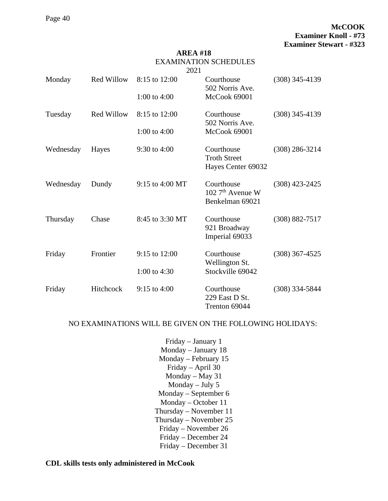#### **AREA #18** EXAMINATION SCHEDULES  $2021$

|           |                   | 2021            |                                                              |                    |
|-----------|-------------------|-----------------|--------------------------------------------------------------|--------------------|
| Monday    | <b>Red Willow</b> | 8:15 to 12:00   | Courthouse<br>502 Norris Ave.                                | $(308)$ 345-4139   |
|           |                   | 1:00 to 4:00    | McCook 69001                                                 |                    |
| Tuesday   | <b>Red Willow</b> | 8:15 to 12:00   | Courthouse<br>502 Norris Ave.                                | $(308)$ 345-4139   |
|           |                   | 1:00 to $4:00$  | McCook 69001                                                 |                    |
| Wednesday | Hayes             | 9:30 to 4:00    | Courthouse<br><b>Troth Street</b><br>Hayes Center 69032      | $(308)$ 286-3214   |
| Wednesday | Dundy             | 9:15 to 4:00 MT | Courthouse<br>$1027^{\text{th}}$ Avenue W<br>Benkelman 69021 | $(308)$ 423-2425   |
| Thursday  | Chase             | 8:45 to 3:30 MT | Courthouse<br>921 Broadway<br>Imperial 69033                 | $(308) 882 - 7517$ |
| Friday    | Frontier          | 9:15 to 12:00   | Courthouse<br>Wellington St.                                 | $(308)$ 367-4525   |
|           |                   | 1:00 to 4:30    | Stockville 69042                                             |                    |
| Friday    | Hitchcock         | 9:15 to 4:00    | Courthouse<br>229 East D St.<br>Trenton 69044                | $(308)$ 334-5844   |

#### NO EXAMINATIONS WILL BE GIVEN ON THE FOLLOWING HOLIDAYS:

Friday – January 1 Monday – January 18 Monday – February 15 Friday – April 30 Monday – May 31 Monday – July 5 Monday – September 6 Monday – October 11 Thursday – November 11 Thursday – November 25 Friday – November 26 Friday – December 24 Friday – December 31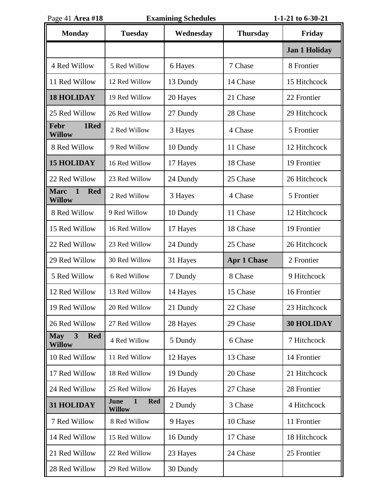| Page 41 Area #18                                           |                                                     | <b>Examining Schedules</b> |                    | 1-1-21 to 6-30-21    |
|------------------------------------------------------------|-----------------------------------------------------|----------------------------|--------------------|----------------------|
| <b>Monday</b>                                              | <b>Tuesday</b>                                      | Wednesday                  | <b>Thursday</b>    | Friday               |
|                                                            |                                                     |                            |                    | <b>Jan 1 Holiday</b> |
| 4 Red Willow                                               | 5 Red Willow                                        | 6 Hayes                    | 7 Chase            | 8 Frontier           |
| 11 Red Willow                                              | 12 Red Willow                                       | 13 Dundy                   | 14 Chase           | 15 Hitchcock         |
| <b>18 HOLIDAY</b>                                          | 19 Red Willow                                       | 20 Hayes                   | 21 Chase           | 22 Frontier          |
| 25 Red Willow                                              | 26 Red Willow                                       | 27 Dundy                   | 28 Chase           | 29 Hitchcock         |
| 1Red<br><b>Febr</b><br><b>Willow</b>                       | 2 Red Willow                                        | 3 Hayes                    | 4 Chase            | 5 Frontier           |
| 8 Red Willow                                               | 9 Red Willow                                        | 10 Dundy                   | 11 Chase           | 12 Hitchcock         |
| <b>15 HOLIDAY</b>                                          | 16 Red Willow                                       | 17 Hayes                   | 18 Chase           | 19 Frontier          |
| 22 Red Willow                                              | 23 Red Willow                                       | 24 Dundy                   | 25 Chase           | 26 Hitchcock         |
| <b>Marc</b><br>$\mathbf{1}$<br><b>Red</b><br><b>Willow</b> | 2 Red Willow                                        | 3 Hayes                    | 4 Chase            | 5 Frontier           |
| 8 Red Willow                                               | 9 Red Willow                                        | 10 Dundy                   | 11 Chase           | 12 Hitchcock         |
| 15 Red Willow                                              | 16 Red Willow                                       | 17 Hayes                   | 18 Chase           | 19 Frontier          |
| 22 Red Willow                                              | 23 Red Willow                                       | 24 Dundy                   | 25 Chase           | 26 Hitchcock         |
| 29 Red Willow                                              | 30 Red Willow                                       | 31 Hayes                   | <b>Apr 1 Chase</b> | 2 Frontier           |
| 5 Red Willow                                               | 6 Red Willow                                        | 7 Dundy                    | 8 Chase            | 9 Hitchcock          |
| 12 Red Willow                                              | 13 Red Willow                                       | 14 Hayes                   | 15 Chase           | 16 Frontier          |
| 19 Red Willow                                              | 20 Red Willow                                       | 21 Dundy                   | 22 Chase           | 23 Hitchcock         |
| 26 Red Willow                                              | 27 Red Willow                                       | 28 Hayes                   | 29 Chase           | <b>30 HOLIDAY</b>    |
| 3<br><b>Red</b><br><b>May</b><br>Willow                    | 4 Red Willow                                        | 5 Dundy                    | 6 Chase            | 7 Hitchcock          |
| 10 Red Willow                                              | 11 Red Willow                                       | 12 Hayes                   | 13 Chase           | 14 Frontier          |
| 17 Red Willow                                              | 18 Red Willow                                       | 19 Dundy                   | 20 Chase           | 21 Hitchcock         |
| 24 Red Willow                                              | 25 Red Willow                                       | 26 Hayes                   | 27 Chase           | 28 Frontier          |
| 31 HOLIDAY                                                 | June<br>$\mathbf{1}$<br><b>Red</b><br><b>Willow</b> | 2 Dundy                    | 3 Chase            | 4 Hitchcock          |
| 7 Red Willow                                               | 8 Red Willow                                        | 9 Hayes                    | 10 Chase           | 11 Frontier          |
| 14 Red Willow                                              | 15 Red Willow                                       | 16 Dundy                   | 17 Chase           | 18 Hitchcock         |
| 21 Red Willow                                              | 22 Red Willow                                       | 23 Hayes                   | 24 Chase           | 25 Frontier          |
| 28 Red Willow                                              | 29 Red Willow                                       | 30 Dundy                   |                    |                      |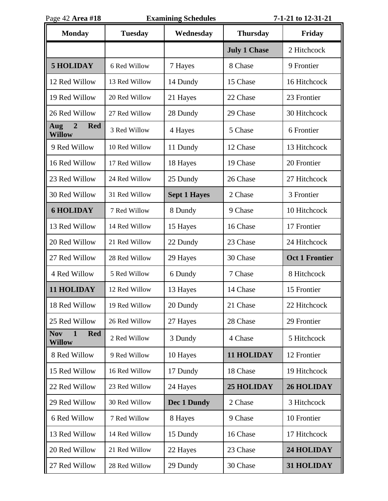| Page 42 Area #18                                          | <b>Examining Schedules</b> |                     |                     | 7-1-21 to 12-31-21    |  |
|-----------------------------------------------------------|----------------------------|---------------------|---------------------|-----------------------|--|
| <b>Monday</b>                                             | <b>Tuesday</b>             | Wednesday           | <b>Thursday</b>     | Friday                |  |
|                                                           |                            |                     | <b>July 1 Chase</b> | 2 Hitchcock           |  |
| 5 HOLIDAY                                                 | 6 Red Willow               | 7 Hayes             | 8 Chase             | 9 Frontier            |  |
| 12 Red Willow                                             | 13 Red Willow              | 14 Dundy            | 15 Chase            | 16 Hitchcock          |  |
| 19 Red Willow                                             | 20 Red Willow              | 21 Hayes            | 22 Chase            | 23 Frontier           |  |
| 26 Red Willow                                             | 27 Red Willow              | 28 Dundy            | 29 Chase            | 30 Hitchcock          |  |
| $\overline{2}$<br><b>Red</b><br>Aug<br><b>Willow</b>      | 3 Red Willow               | 4 Hayes             | 5 Chase             | 6 Frontier            |  |
| 9 Red Willow                                              | 10 Red Willow              | 11 Dundy            | 12 Chase            | 13 Hitchcock          |  |
| 16 Red Willow                                             | 17 Red Willow              | 18 Hayes            | 19 Chase            | 20 Frontier           |  |
| 23 Red Willow                                             | 24 Red Willow              | 25 Dundy            | 26 Chase            | 27 Hitchcock          |  |
| 30 Red Willow                                             | 31 Red Willow              | <b>Sept 1 Hayes</b> | 2 Chase             | 3 Frontier            |  |
| <b>6 HOLIDAY</b>                                          | 7 Red Willow               | 8 Dundy             | 9 Chase             | 10 Hitchcock          |  |
| 13 Red Willow                                             | 14 Red Willow              | 15 Hayes            | 16 Chase            | 17 Frontier           |  |
| 20 Red Willow                                             | 21 Red Willow              | 22 Dundy            | 23 Chase            | 24 Hitchcock          |  |
| 27 Red Willow                                             | 28 Red Willow              | 29 Hayes            | 30 Chase            | <b>Oct 1 Frontier</b> |  |
| 4 Red Willow                                              | 5 Red Willow               | 6 Dundy             | 7 Chase             | 8 Hitchcock           |  |
| <b>11 HOLIDAY</b>                                         | 12 Red Willow              | 13 Hayes            | 14 Chase            | 15 Frontier           |  |
| 18 Red Willow                                             | 19 Red Willow              | 20 Dundy            | 21 Chase            | 22 Hitchcock          |  |
| 25 Red Willow                                             | 26 Red Willow              | 27 Hayes            | 28 Chase            | 29 Frontier           |  |
| $\mathbf{1}$<br><b>Nov</b><br><b>Red</b><br><b>Willow</b> | 2 Red Willow               | 3 Dundy             | 4 Chase             | 5 Hitchcock           |  |
| 8 Red Willow                                              | 9 Red Willow               | 10 Hayes            | <b>11 HOLIDAY</b>   | 12 Frontier           |  |
| 15 Red Willow                                             | 16 Red Willow              | 17 Dundy            | 18 Chase            | 19 Hitchcock          |  |
| 22 Red Willow                                             | 23 Red Willow              | 24 Hayes            | <b>25 HOLIDAY</b>   | <b>26 HOLIDAY</b>     |  |
| 29 Red Willow                                             | 30 Red Willow              | Dec 1 Dundy         | 2 Chase             | 3 Hitchcock           |  |
| 6 Red Willow                                              | 7 Red Willow               | 8 Hayes             | 9 Chase             | 10 Frontier           |  |
| 13 Red Willow                                             | 14 Red Willow              | 15 Dundy            | 16 Chase            | 17 Hitchcock          |  |
| 20 Red Willow                                             | 21 Red Willow              | 22 Hayes            | 23 Chase            | 24 HOLIDAY            |  |
| 27 Red Willow                                             | 28 Red Willow              | 29 Dundy            | 30 Chase            | 31 HOLIDAY            |  |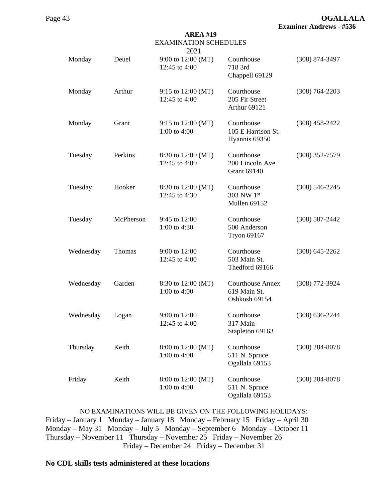| <b>EXAMINATION SCHEDULES</b><br>2021 |           |                                     |                                                          |                    |  |
|--------------------------------------|-----------|-------------------------------------|----------------------------------------------------------|--------------------|--|
| Monday                               | Deuel     | 9:00 to 12:00 (MT)<br>12:45 to 4:00 | Courthouse<br>718 3rd<br>Chappell 69129                  | (308) 874-3497     |  |
| Monday                               | Arthur    | 9:15 to 12:00 (MT)<br>12:45 to 4:00 | Courthouse<br>205 Fir Street<br>Arthur 69121             | $(308) 764 - 2203$ |  |
| Monday                               | Grant     | 9:15 to 12:00 (MT)<br>1:00 to 4:00  | Courthouse<br>105 E Harrison St.<br>Hyannis 69350        | $(308)$ 458-2422   |  |
| Tuesday                              | Perkins   | 8:30 to 12:00 (MT)<br>12:45 to 4:00 | Courthouse<br>200 Lincoln Ave.<br><b>Grant 69140</b>     | $(308)$ 352-7579   |  |
| Tuesday                              | Hooker    | 8:30 to 12:00 (MT)<br>12:45 to 4:30 | Courthouse<br>303 NW 1st<br>Mullen 69152                 | $(308) 546 - 2245$ |  |
| Tuesday                              | McPherson | 9:45 to 12:00<br>1:00 to 4:30       | Courthouse<br>500 Anderson<br><b>Tryon 69167</b>         | $(308) 587 - 2442$ |  |
| Wednesday                            | Thomas    | 9:00 to 12:00<br>12:45 to 4:00      | Courthouse<br>503 Main St.<br>Thedford 69166             | $(308)$ 645-2262   |  |
| Wednesday                            | Garden    | 8:30 to 12:00 (MT)<br>1:00 to 4:00  | <b>Courthouse Annex</b><br>619 Main St.<br>Oshkosh 69154 | (308) 772-3924     |  |
| Wednesday                            | Logan     | 9:00 to 12:00<br>12:45 to 4:00      | Courthouse<br>317 Main<br>Stapleton 69163                | $(308) 636 - 2244$ |  |
| Thursday                             | Keith     | 8:00 to 12:00 (MT)<br>1:00 to 4:00  | Courthouse<br>511 N. Spruce<br>Ogallala 69153            | $(308)$ 284-8078   |  |
| Friday                               | Keith     | 8:00 to 12:00 (MT)<br>1:00 to 4:00  | Courthouse<br>511 N. Spruce<br>Ogallala 69153            | $(308)$ 284-8078   |  |

NO EXAMINATIONS WILL BE GIVEN ON THE FOLLOWING HOLIDAYS: Friday – January 1 Monday – January 18 Monday – February 15 Friday – April 30 Monday – May 31 Monday – July 5 Monday – September 6 Monday – October 11 Thursday – November 11 Thursday – November 25 Friday – November 26 Friday – December 24 Friday – December 31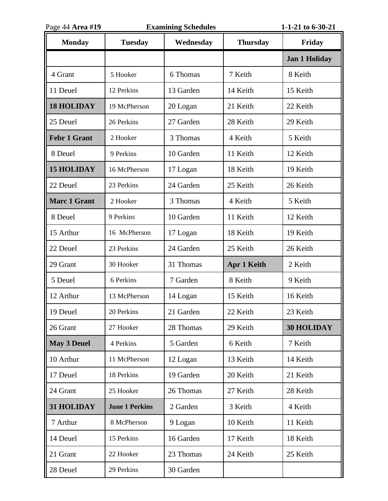| Page 44 Area #19    | <b>Examining Schedules</b> |           |                    | 1-1-21 to 6-30-21    |
|---------------------|----------------------------|-----------|--------------------|----------------------|
| <b>Monday</b>       | <b>Tuesday</b>             | Wednesday | <b>Thursday</b>    | Friday               |
|                     |                            |           |                    | <b>Jan 1 Holiday</b> |
| 4 Grant             | 5 Hooker                   | 6 Thomas  | 7 Keith            | 8 Keith              |
| 11 Deuel            | 12 Perkins                 | 13 Garden | 14 Keith           | 15 Keith             |
| <b>18 HOLIDAY</b>   | 19 McPherson               | 20 Logan  | 21 Keith           | 22 Keith             |
| 25 Deuel            | 26 Perkins                 | 27 Garden | 28 Keith           | 29 Keith             |
| <b>Febr 1 Grant</b> | 2 Hooker                   | 3 Thomas  | 4 Keith            | 5 Keith              |
| 8 Deuel             | 9 Perkins                  | 10 Garden | 11 Keith           | 12 Keith             |
| <b>15 HOLIDAY</b>   | 16 McPherson               | 17 Logan  | 18 Keith           | 19 Keith             |
| 22 Deuel            | 23 Perkins                 | 24 Garden | 25 Keith           | 26 Keith             |
| <b>Marc 1 Grant</b> | 2 Hooker                   | 3 Thomas  | 4 Keith            | 5 Keith              |
| 8 Deuel             | 9 Perkins                  | 10 Garden | 11 Keith           | 12 Keith             |
| 15 Arthur           | 16 McPherson               | 17 Logan  | 18 Keith           | 19 Keith             |
| 22 Deuel            | 23 Perkins                 | 24 Garden | 25 Keith           | 26 Keith             |
| 29 Grant            | 30 Hooker                  | 31 Thomas | <b>Apr 1 Keith</b> | 2 Keith              |
| 5 Deuel             | 6 Perkins                  | 7 Garden  | 8 Keith            | 9 Keith              |
| 12 Arthur           | 13 McPherson               | 14 Logan  | 15 Keith           | 16 Keith             |
| 19 Deuel            | 20 Perkins                 | 21 Garden | 22 Keith           | 23 Keith             |
| 26 Grant            | 27 Hooker                  | 28 Thomas | 29 Keith           | <b>30 HOLIDAY</b>    |
| <b>May 3 Deuel</b>  | 4 Perkins                  | 5 Garden  | 6 Keith            | 7 Keith              |
| 10 Arthur           | 11 McPherson               | 12 Logan  | 13 Keith           | 14 Keith             |
| 17 Deuel            | 18 Perkins                 | 19 Garden | 20 Keith           | 21 Keith             |
| 24 Grant            | 25 Hooker                  | 26 Thomas | 27 Keith           | 28 Keith             |
| 31 HOLIDAY          | <b>June 1 Perkins</b>      | 2 Garden  | 3 Keith            | 4 Keith              |
| 7 Arthur            | 8 McPherson                | 9 Logan   | 10 Keith           | 11 Keith             |
| 14 Deuel            | 15 Perkins                 | 16 Garden | 17 Keith           | 18 Keith             |
| 21 Grant            | 22 Hooker                  | 23 Thomas | 24 Keith           | 25 Keith             |
| 28 Deuel            | 29 Perkins                 | 30 Garden |                    |                      |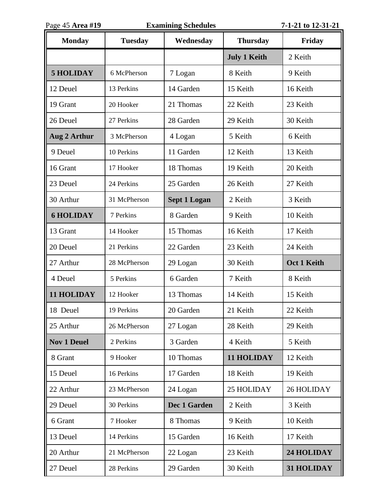| Page 45 Area #19   |                | <b>Examining Schedules</b> |                     | 7-1-21 to 12-31-21 |
|--------------------|----------------|----------------------------|---------------------|--------------------|
| <b>Monday</b>      | <b>Tuesday</b> | Wednesday                  | <b>Thursday</b>     | Friday             |
|                    |                |                            | <b>July 1 Keith</b> | 2 Keith            |
| <b>5 HOLIDAY</b>   | 6 McPherson    | 7 Logan                    | 8 Keith             | 9 Keith            |
| 12 Deuel           | 13 Perkins     | 14 Garden                  | 15 Keith            | 16 Keith           |
| 19 Grant           | 20 Hooker      | 21 Thomas                  | 22 Keith            | 23 Keith           |
| 26 Deuel           | 27 Perkins     | 28 Garden                  | 29 Keith            | 30 Keith           |
| Aug 2 Arthur       | 3 McPherson    | 4 Logan                    | 5 Keith             | 6 Keith            |
| 9 Deuel            | 10 Perkins     | 11 Garden                  | 12 Keith            | 13 Keith           |
| 16 Grant           | 17 Hooker      | 18 Thomas                  | 19 Keith            | 20 Keith           |
| 23 Deuel           | 24 Perkins     | 25 Garden                  | 26 Keith            | 27 Keith           |
| 30 Arthur          | 31 McPherson   | <b>Sept 1 Logan</b>        | 2 Keith             | 3 Keith            |
| <b>6 HOLIDAY</b>   | 7 Perkins      | 8 Garden                   | 9 Keith             | 10 Keith           |
| 13 Grant           | 14 Hooker      | 15 Thomas                  | 16 Keith            | 17 Keith           |
| 20 Deuel           | 21 Perkins     | 22 Garden                  | 23 Keith            | 24 Keith           |
| 27 Arthur          | 28 McPherson   | 29 Logan                   | 30 Keith            | <b>Oct 1 Keith</b> |
| 4 Deuel            | 5 Perkins      | 6 Garden                   | 7 Keith             | 8 Keith            |
| 11 HOLIDAY         | 12 Hooker      | 13 Thomas                  | 14 Keith            | 15 Keith           |
| 18 Deuel           | 19 Perkins     | 20 Garden                  | 21 Keith            | 22 Keith           |
| 25 Arthur          | 26 McPherson   | 27 Logan                   | 28 Keith            | 29 Keith           |
| <b>Nov 1 Deuel</b> | 2 Perkins      | 3 Garden                   | 4 Keith             | 5 Keith            |
| 8 Grant            | 9 Hooker       | 10 Thomas                  | 11 HOLIDAY          | 12 Keith           |
| 15 Deuel           | 16 Perkins     | 17 Garden                  | 18 Keith            | 19 Keith           |
| 22 Arthur          | 23 McPherson   | 24 Logan                   | 25 HOLIDAY          | 26 HOLIDAY         |
| 29 Deuel           | 30 Perkins     | <b>Dec 1 Garden</b>        | 2 Keith             | 3 Keith            |
| 6 Grant            | 7 Hooker       | 8 Thomas                   | 9 Keith             | 10 Keith           |
| 13 Deuel           | 14 Perkins     | 15 Garden                  | 16 Keith            | 17 Keith           |
| 20 Arthur          | 21 McPherson   | 22 Logan                   | 23 Keith            | 24 HOLIDAY         |
| 27 Deuel           | 28 Perkins     | 29 Garden                  | 30 Keith            | 31 HOLIDAY         |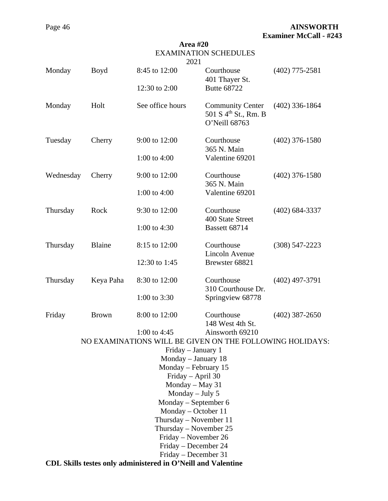|                                                              |                        | Area #20<br>2021                                 | <b>EXAMINATION SCHEDULES</b>                                                 |                  |  |  |
|--------------------------------------------------------------|------------------------|--------------------------------------------------|------------------------------------------------------------------------------|------------------|--|--|
| Monday                                                       | <b>Boyd</b>            | 8:45 to 12:00                                    | Courthouse<br>401 Thayer St.                                                 | $(402)$ 775-2581 |  |  |
|                                                              |                        | 12:30 to 2:00                                    | <b>Butte 68722</b>                                                           |                  |  |  |
| Monday                                                       | Holt                   | See office hours                                 | <b>Community Center</b><br>501 S 4 <sup>th</sup> St., Rm. B<br>O'Neill 68763 | $(402)$ 336-1864 |  |  |
| Tuesday                                                      | Cherry                 | 9:00 to 12:00                                    | Courthouse<br>365 N. Main                                                    | $(402)$ 376-1580 |  |  |
|                                                              |                        | 1:00 to 4:00                                     | Valentine 69201                                                              |                  |  |  |
| Wednesday                                                    | Cherry                 | 9:00 to 12:00                                    | Courthouse<br>365 N. Main                                                    | $(402)$ 376-1580 |  |  |
|                                                              |                        | 1:00 to 4:00                                     | Valentine 69201                                                              |                  |  |  |
| Thursday                                                     | Rock                   | 9:30 to 12:00                                    | Courthouse<br>400 State Street                                               | $(402)$ 684-3337 |  |  |
|                                                              |                        | 1:00 to $4:30$                                   | Bassett 68714                                                                |                  |  |  |
| Thursday                                                     | <b>Blaine</b>          | 8:15 to 12:00                                    | Courthouse<br><b>Lincoln Avenue</b>                                          | $(308)$ 547-2223 |  |  |
|                                                              |                        | 12:30 to 1:45                                    | Brewster 68821                                                               |                  |  |  |
| Thursday                                                     | Keya Paha              | 8:30 to 12:00                                    | Courthouse<br>310 Courthouse Dr.                                             | $(402)$ 497-3791 |  |  |
|                                                              |                        | 1:00 to 3:30                                     | Springview 68778                                                             |                  |  |  |
| Friday                                                       | <b>Brown</b>           | 8:00 to 12:00                                    | Courthouse<br>148 West 4th St.                                               | $(402)$ 387-2650 |  |  |
|                                                              |                        | 1:00 to 4:45                                     | Ainsworth 69210                                                              |                  |  |  |
|                                                              |                        |                                                  | NO EXAMINATIONS WILL BE GIVEN ON THE FOLLOWING HOLIDAYS:                     |                  |  |  |
|                                                              |                        | Friday - January 1                               |                                                                              |                  |  |  |
|                                                              |                        | Monday - January 18                              |                                                                              |                  |  |  |
|                                                              |                        | Monday – February 15<br>Friday - April 30        |                                                                              |                  |  |  |
|                                                              |                        | Monday $-$ May 31                                |                                                                              |                  |  |  |
|                                                              | Monday $-$ July 5      |                                                  |                                                                              |                  |  |  |
| Monday – September 6                                         |                        |                                                  |                                                                              |                  |  |  |
| Monday – October 11                                          |                        |                                                  |                                                                              |                  |  |  |
|                                                              | Thursday - November 11 |                                                  |                                                                              |                  |  |  |
|                                                              |                        | Thursday – November $25$<br>Friday – November 26 |                                                                              |                  |  |  |
|                                                              |                        | Friday – December 24                             |                                                                              |                  |  |  |
|                                                              |                        | Friday - December 31                             |                                                                              |                  |  |  |
| CDL Skills testes only administered in O'Neill and Valentine |                        |                                                  |                                                                              |                  |  |  |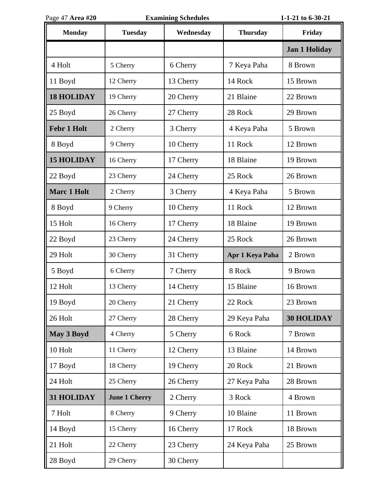| Page 47 Area #20   | <b>Examining Schedules</b> |           |                 | 1-1-21 to 6-30-21    |
|--------------------|----------------------------|-----------|-----------------|----------------------|
| <b>Monday</b>      | <b>Tuesday</b>             | Wednesday | <b>Thursday</b> | Friday               |
|                    |                            |           |                 | <b>Jan 1 Holiday</b> |
| 4 Holt             | 5 Cherry                   | 6 Cherry  | 7 Keya Paha     | 8 Brown              |
| 11 Boyd            | 12 Cherry                  | 13 Cherry | 14 Rock         | 15 Brown             |
| <b>18 HOLIDAY</b>  | 19 Cherry                  | 20 Cherry | 21 Blaine       | 22 Brown             |
| 25 Boyd            | 26 Cherry                  | 27 Cherry | 28 Rock         | 29 Brown             |
| <b>Febr 1 Holt</b> | 2 Cherry                   | 3 Cherry  | 4 Keya Paha     | 5 Brown              |
| 8 Boyd             | 9 Cherry                   | 10 Cherry | 11 Rock         | 12 Brown             |
| <b>15 HOLIDAY</b>  | 16 Cherry                  | 17 Cherry | 18 Blaine       | 19 Brown             |
| 22 Boyd            | 23 Cherry                  | 24 Cherry | 25 Rock         | 26 Brown             |
| <b>Marc 1 Holt</b> | 2 Cherry                   | 3 Cherry  | 4 Keya Paha     | 5 Brown              |
| 8 Boyd             | 9 Cherry                   | 10 Cherry | 11 Rock         | 12 Brown             |
| 15 Holt            | 16 Cherry                  | 17 Cherry | 18 Blaine       | 19 Brown             |
| 22 Boyd            | 23 Cherry                  | 24 Cherry | 25 Rock         | 26 Brown             |
| 29 Holt            | 30 Cherry                  | 31 Cherry | Apr 1 Keya Paha | 2 Brown              |
| 5 Boyd             | 6 Cherry                   | 7 Cherry  | 8 Rock          | 9 Brown              |
| 12 Holt            | 13 Cherry                  | 14 Cherry | 15 Blaine       | 16 Brown             |
| 19 Boyd            | 20 Cherry                  | 21 Cherry | 22 Rock         | 23 Brown             |
| 26 Holt            | 27 Cherry                  | 28 Cherry | 29 Keya Paha    | <b>30 HOLIDAY</b>    |
| May 3 Boyd         | 4 Cherry                   | 5 Cherry  | 6 Rock          | 7 Brown              |
| 10 Holt            | 11 Cherry                  | 12 Cherry | 13 Blaine       | 14 Brown             |
| 17 Boyd            | 18 Cherry                  | 19 Cherry | 20 Rock         | 21 Brown             |
| 24 Holt            | 25 Cherry                  | 26 Cherry | 27 Keya Paha    | 28 Brown             |
| 31 HOLIDAY         | <b>June 1 Cherry</b>       | 2 Cherry  | 3 Rock          | 4 Brown              |
| 7 Holt             | 8 Cherry                   | 9 Cherry  | 10 Blaine       | 11 Brown             |
| 14 Boyd            | 15 Cherry                  | 16 Cherry | 17 Rock         | 18 Brown             |
| 21 Holt            | 22 Cherry                  | 23 Cherry | 24 Keya Paha    | 25 Brown             |
| 28 Boyd            | 29 Cherry                  | 30 Cherry |                 |                      |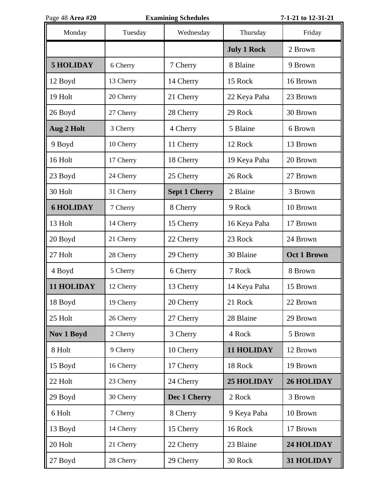| Page 48 Area #20 |           | <b>Examining Schedules</b> |                    | 7-1-21 to 12-31-21 |
|------------------|-----------|----------------------------|--------------------|--------------------|
| Monday           | Tuesday   | Wednesday                  | Thursday           | Friday             |
|                  |           |                            | <b>July 1 Rock</b> | 2 Brown            |
| <b>5 HOLIDAY</b> | 6 Cherry  | 7 Cherry                   | 8 Blaine           | 9 Brown            |
| 12 Boyd          | 13 Cherry | 14 Cherry                  | 15 Rock            | 16 Brown           |
| 19 Holt          | 20 Cherry | 21 Cherry                  | 22 Keya Paha       | 23 Brown           |
| 26 Boyd          | 27 Cherry | 28 Cherry                  | 29 Rock            | 30 Brown           |
| Aug 2 Holt       | 3 Cherry  | 4 Cherry                   | 5 Blaine           | 6 Brown            |
| 9 Boyd           | 10 Cherry | 11 Cherry                  | 12 Rock            | 13 Brown           |
| 16 Holt          | 17 Cherry | 18 Cherry                  | 19 Keya Paha       | 20 Brown           |
| 23 Boyd          | 24 Cherry | 25 Cherry                  | 26 Rock            | 27 Brown           |
| 30 Holt          | 31 Cherry | <b>Sept 1 Cherry</b>       | 2 Blaine           | 3 Brown            |
| <b>6 HOLIDAY</b> | 7 Cherry  | 8 Cherry                   | 9 Rock             | 10 Brown           |
| 13 Holt          | 14 Cherry | 15 Cherry                  | 16 Keya Paha       | 17 Brown           |
| 20 Boyd          | 21 Cherry | 22 Cherry                  | 23 Rock            | 24 Brown           |
| 27 Holt          | 28 Cherry | 29 Cherry                  | 30 Blaine          | <b>Oct 1 Brown</b> |
| 4 Boyd           | 5 Cherry  | 6 Cherry                   | 7 Rock             | 8 Brown            |
| 11 HOLIDAY       | 12 Cherry | 13 Cherry                  | 14 Keya Paha       | 15 Brown           |
| 18 Boyd          | 19 Cherry | 20 Cherry                  | 21 Rock            | 22 Brown           |
| 25 Holt          | 26 Cherry | 27 Cherry                  | 28 Blaine          | 29 Brown           |
| Nov 1 Boyd       | 2 Cherry  | 3 Cherry                   | 4 Rock             | 5 Brown            |
| 8 Holt           | 9 Cherry  | 10 Cherry                  | <b>11 HOLIDAY</b>  | 12 Brown           |
| 15 Boyd          | 16 Cherry | 17 Cherry                  | 18 Rock            | 19 Brown           |
| 22 Holt          | 23 Cherry | 24 Cherry                  | <b>25 HOLIDAY</b>  | <b>26 HOLIDAY</b>  |
| 29 Boyd          | 30 Cherry | Dec 1 Cherry               | 2 Rock             | 3 Brown            |
| 6 Holt           | 7 Cherry  | 8 Cherry                   | 9 Keya Paha        | 10 Brown           |
| 13 Boyd          | 14 Cherry | 15 Cherry                  | 16 Rock            | 17 Brown           |
| 20 Holt          | 21 Cherry | 22 Cherry                  | 23 Blaine          | 24 HOLIDAY         |
| 27 Boyd          | 28 Cherry | 29 Cherry                  | 30 Rock            | 31 HOLIDAY         |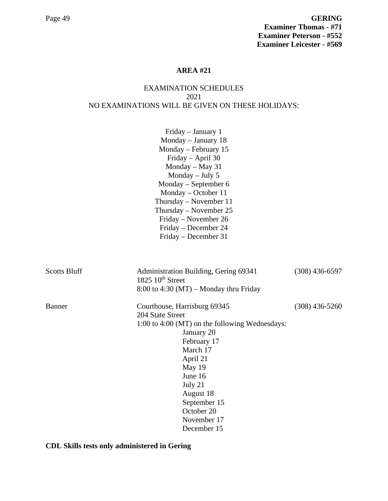# EXAMINATION SCHEDULES 2021 NO EXAMINATIONS WILL BE GIVEN ON THESE HOLIDAYS:

|                     | Friday - January 1<br>Monday - January 18<br>Monday – February 15<br>Friday - April 30<br>Monday $-$ May 31<br>Monday $-$ July 5<br>Monday – September 6<br>Monday – October 11<br>Thursday – November $11$                                                      |                  |
|---------------------|------------------------------------------------------------------------------------------------------------------------------------------------------------------------------------------------------------------------------------------------------------------|------------------|
|                     | Thursday – November 25<br>Friday – November 26<br>Friday – December 24<br>Friday – December 31                                                                                                                                                                   |                  |
| <b>Scotts Bluff</b> | Administration Building, Gering 69341<br>1825 $10th$ Street<br>$8:00$ to 4:30 (MT) – Monday thru Friday                                                                                                                                                          | $(308)$ 436-6597 |
| Banner              | Courthouse, Harrisburg 69345<br>204 State Street<br>1:00 to 4:00 (MT) on the following Wednesdays:<br>January 20<br>February 17<br>March 17<br>April 21<br>May 19<br>June 16<br>July 21<br>August 18<br>September 15<br>October 20<br>November 17<br>December 15 | $(308)$ 436-5260 |

**CDL Skills tests only administered in Gering**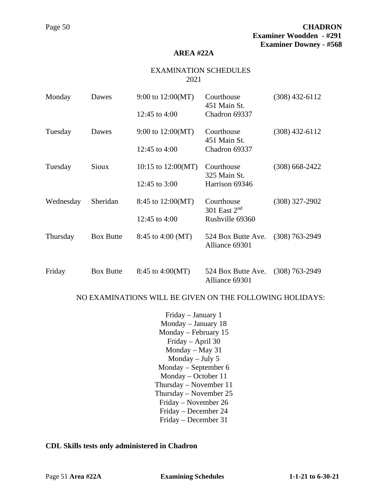#### **AREA #22A**

#### EXAMINATION SCHEDULES 2021

| Monday    | Dawes            | 9:00 to 12:00(MT)<br>12:45 to 4:00 | Courthouse<br>451 Main St.<br>Chadron 69337 | $(308)$ 432-6112 |
|-----------|------------------|------------------------------------|---------------------------------------------|------------------|
| Tuesday   | Dawes            | 9:00 to $12:00(MT)$                | Courthouse<br>451 Main St.                  | $(308)$ 432-6112 |
|           |                  | 12:45 to 4:00                      | Chadron 69337                               |                  |
| Tuesday   | Sioux            | 10:15 to $12:00(MT)$               | Courthouse<br>325 Main St.                  | $(308)$ 668-2422 |
|           |                  | 12:45 to $3:00$                    | Harrison 69346                              |                  |
| Wednesday | Sheridan         | 8:45 to $12:00(MT)$                | Courthouse<br>301 East $2nd$                | $(308)$ 327-2902 |
|           |                  | 12:45 to 4:00                      | Rushville 69360                             |                  |
| Thursday  | <b>Box Butte</b> | 8:45 to 4:00 (MT)                  | 524 Box Butte Ave.<br>Alliance 69301        | $(308)$ 763-2949 |
| Friday    | <b>Box Butte</b> | 8:45 to $4:00(MT)$                 | 524 Box Butte Ave.<br>Alliance 69301        | $(308)$ 763-2949 |

### NO EXAMINATIONS WILL BE GIVEN ON THE FOLLOWING HOLIDAYS:

Friday – January 1 Monday – January 18 Monday – February 15 Friday – April 30 Monday – May 31 Monday – July 5 Monday – September 6 Monday – October 11 Thursday – November 11 Thursday – November 25 Friday – November 26 Friday – December 24 Friday – December 31

#### **CDL Skills tests only administered in Chadron**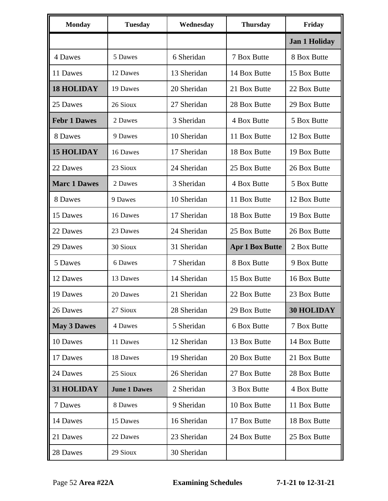| <b>Monday</b>       | <b>Tuesday</b>      | Wednesday   | <b>Thursday</b>        | Friday               |
|---------------------|---------------------|-------------|------------------------|----------------------|
|                     |                     |             |                        | <b>Jan 1 Holiday</b> |
| 4 Dawes             | 5 Dawes             | 6 Sheridan  | 7 Box Butte            | 8 Box Butte          |
| 11 Dawes            | 12 Dawes            | 13 Sheridan | 14 Box Butte           | 15 Box Butte         |
| <b>18 HOLIDAY</b>   | 19 Dawes            | 20 Sheridan | 21 Box Butte           | 22 Box Butte         |
| 25 Dawes            | 26 Sioux            | 27 Sheridan | 28 Box Butte           | 29 Box Butte         |
| <b>Febr 1 Dawes</b> | 2 Dawes             | 3 Sheridan  | 4 Box Butte            | 5 Box Butte          |
| 8 Dawes             | 9 Dawes             | 10 Sheridan | 11 Box Butte           | 12 Box Butte         |
| <b>15 HOLIDAY</b>   | 16 Dawes            | 17 Sheridan | 18 Box Butte           | 19 Box Butte         |
| 22 Dawes            | 23 Sioux            | 24 Sheridan | 25 Box Butte           | 26 Box Butte         |
| <b>Marc 1 Dawes</b> | 2 Dawes             | 3 Sheridan  | 4 Box Butte            | 5 Box Butte          |
| 8 Dawes             | 9 Dawes             | 10 Sheridan | 11 Box Butte           | 12 Box Butte         |
| 15 Dawes            | 16 Dawes            | 17 Sheridan | 18 Box Butte           | 19 Box Butte         |
| 22 Dawes            | 23 Dawes            | 24 Sheridan | 25 Box Butte           | 26 Box Butte         |
| 29 Dawes            | 30 Sioux            | 31 Sheridan | <b>Apr 1 Box Butte</b> | 2 Box Butte          |
| 5 Dawes             | 6 Dawes             | 7 Sheridan  | 8 Box Butte            | 9 Box Butte          |
| 12 Dawes            | 13 Dawes            | 14 Sheridan | 15 Box Butte           | 16 Box Butte         |
| 19 Dawes            | 20 Dawes            | 21 Sheridan | 22 Box Butte           | 23 Box Butte         |
| 26 Dawes            | 27 Sioux            | 28 Sheridan | 29 Box Butte           | <b>30 HOLIDAY</b>    |
| <b>May 3 Dawes</b>  | 4 Dawes             | 5 Sheridan  | 6 Box Butte            | 7 Box Butte          |
| 10 Dawes            | 11 Dawes            | 12 Sheridan | 13 Box Butte           | 14 Box Butte         |
| 17 Dawes            | 18 Dawes            | 19 Sheridan | 20 Box Butte           | 21 Box Butte         |
| 24 Dawes            | 25 Sioux            | 26 Sheridan | 27 Box Butte           | 28 Box Butte         |
| <b>31 HOLIDAY</b>   | <b>June 1 Dawes</b> | 2 Sheridan  | 3 Box Butte            | 4 Box Butte          |
| 7 Dawes             | 8 Dawes             | 9 Sheridan  | 10 Box Butte           | 11 Box Butte         |
| 14 Dawes            | 15 Dawes            | 16 Sheridan | 17 Box Butte           | 18 Box Butte         |
| 21 Dawes            | 22 Dawes            | 23 Sheridan | 24 Box Butte           | 25 Box Butte         |
| 28 Dawes            | 29 Sioux            | 30 Sheridan |                        |                      |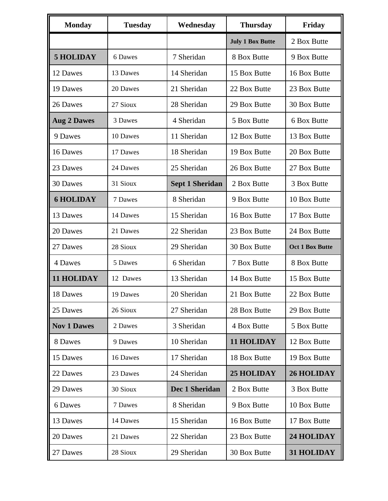| <b>Monday</b>      | <b>Tuesday</b> | Wednesday              | <b>Thursday</b>         | Friday                 |
|--------------------|----------------|------------------------|-------------------------|------------------------|
|                    |                |                        | <b>July 1 Box Butte</b> | 2 Box Butte            |
| <b>5 HOLIDAY</b>   | 6 Dawes        | 7 Sheridan             | 8 Box Butte             | 9 Box Butte            |
| 12 Dawes           | 13 Dawes       | 14 Sheridan            | 15 Box Butte            | 16 Box Butte           |
| 19 Dawes           | 20 Dawes       | 21 Sheridan            | 22 Box Butte            | 23 Box Butte           |
| 26 Dawes           | 27 Sioux       | 28 Sheridan            | 29 Box Butte            | 30 Box Butte           |
| <b>Aug 2 Dawes</b> | 3 Dawes        | 4 Sheridan             | 5 Box Butte             | 6 Box Butte            |
| 9 Dawes            | 10 Dawes       | 11 Sheridan            | 12 Box Butte            | 13 Box Butte           |
| 16 Dawes           | 17 Dawes       | 18 Sheridan            | 19 Box Butte            | 20 Box Butte           |
| 23 Dawes           | 24 Dawes       | 25 Sheridan            | 26 Box Butte            | 27 Box Butte           |
| 30 Dawes           | 31 Sioux       | <b>Sept 1 Sheridan</b> | 2 Box Butte             | 3 Box Butte            |
| <b>6 HOLIDAY</b>   | 7 Dawes        | 8 Sheridan             | 9 Box Butte             | 10 Box Butte           |
| 13 Dawes           | 14 Dawes       | 15 Sheridan            | 16 Box Butte            | 17 Box Butte           |
| 20 Dawes           | 21 Dawes       | 22 Sheridan            | 23 Box Butte            | 24 Box Butte           |
| 27 Dawes           | 28 Sioux       | 29 Sheridan            | 30 Box Butte            | <b>Oct 1 Box Butte</b> |
| 4 Dawes            | 5 Dawes        | 6 Sheridan             | 7 Box Butte             | 8 Box Butte            |
| 11 HOLIDAY         | 12 Dawes       | 13 Sheridan            | 14 Box Butte            | 15 Box Butte           |
| 18 Dawes           | 19 Dawes       | 20 Sheridan            | 21 Box Butte            | 22 Box Butte           |
| 25 Dawes           | 26 Sioux       | 27 Sheridan            | 28 Box Butte            | 29 Box Butte           |
| <b>Nov 1 Dawes</b> | 2 Dawes        | 3 Sheridan             | 4 Box Butte             | 5 Box Butte            |
| 8 Dawes            | 9 Dawes        | 10 Sheridan            | <b>11 HOLIDAY</b>       | 12 Box Butte           |
| 15 Dawes           | 16 Dawes       | 17 Sheridan            | 18 Box Butte            | 19 Box Butte           |
| 22 Dawes           | 23 Dawes       | 24 Sheridan            | <b>25 HOLIDAY</b>       | <b>26 HOLIDAY</b>      |
| 29 Dawes           | 30 Sioux       | Dec 1 Sheridan         | 2 Box Butte             | 3 Box Butte            |
| 6 Dawes            | 7 Dawes        | 8 Sheridan             | 9 Box Butte             | 10 Box Butte           |
| 13 Dawes           | 14 Dawes       | 15 Sheridan            | 16 Box Butte            | 17 Box Butte           |
| 20 Dawes           | 21 Dawes       | 22 Sheridan            | 23 Box Butte            | 24 HOLIDAY             |
| 27 Dawes           | 28 Sioux       | 29 Sheridan            | 30 Box Butte            | 31 HOLIDAY             |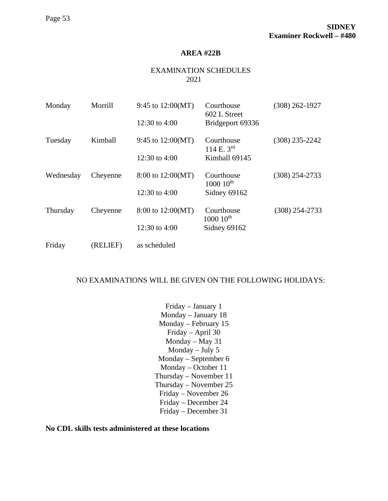#### **AREA #22B**

# EXAMINATION SCHEDULES 2021

| Monday    | Morrill  | 9:45 to $12:00(MT)$<br>12:30 to 4:00 | Courthouse<br>602 L Street<br>Bridgeport 69336 | $(308)$ 262-1927 |
|-----------|----------|--------------------------------------|------------------------------------------------|------------------|
| Tuesday   | Kimball  | 9:45 to $12:00(MT)$                  | Courthouse<br>114 E. $3^{rd}$                  | $(308)$ 235-2242 |
|           |          | 12:30 to 4:00                        | Kimball 69145                                  |                  |
| Wednesday | Cheyenne | 8:00 to 12:00(MT)                    | Courthouse<br>$1000~10^{\text{th}}$            | $(308)$ 254-2733 |
|           |          | 12:30 to 4:00                        | Sidney 69162                                   |                  |
| Thursday  | Cheyenne | 8:00 to 12:00(MT)                    | Courthouse<br>$1000~10^{\text{th}}$            | $(308)$ 254-2733 |
|           |          | 12:30 to 4:00                        | Sidney 69162                                   |                  |
| Friday    | (RELIEF) | as scheduled                         |                                                |                  |

### NO EXAMINATIONS WILL BE GIVEN ON THE FOLLOWING HOLIDAYS:

Friday – January 1 Monday – January 18 Monday – February 15 Friday – April 30 Monday – May 31 Monday – July 5 Monday – September 6 Monday – October 11 Thursday – November 11 Thursday – November 25 Friday – November 26 Friday – December 24 Friday – December 31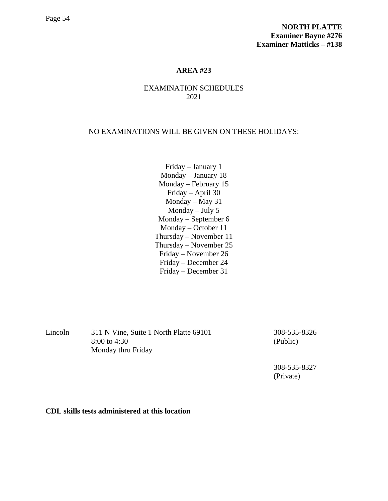# EXAMINATION SCHEDULES 2021

#### NO EXAMINATIONS WILL BE GIVEN ON THESE HOLIDAYS:

Friday – January 1 Monday – January 18 Monday – February 15 Friday – April 30 Monday – May 31 Monday – July 5 Monday – September 6 Monday – October 11 Thursday – November 11 Thursday – November 25 Friday – November 26 Friday – December 24 Friday – December 31

Lincoln 311 N Vine, Suite 1 North Platte 69101 308-535-8326 8:00 to 4:30 (Public) Monday thru Friday

308-535-8327 (Private)